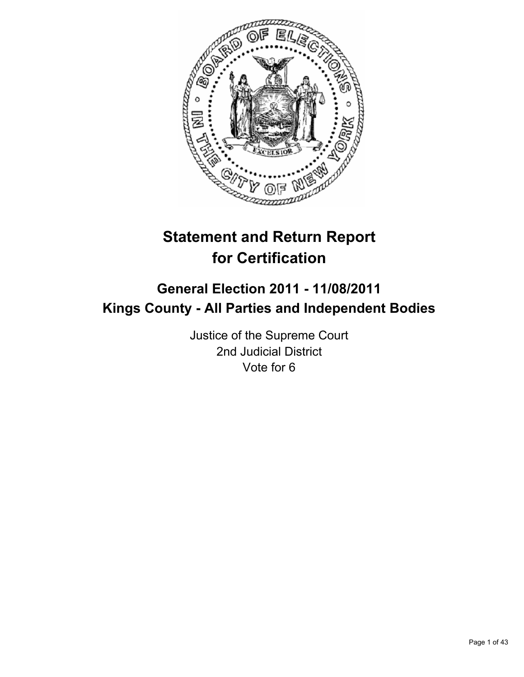

# **Statement and Return Report for Certification**

## **General Election 2011 - 11/08/2011 Kings County - All Parties and Independent Bodies**

Justice of the Supreme Court 2nd Judicial District Vote for 6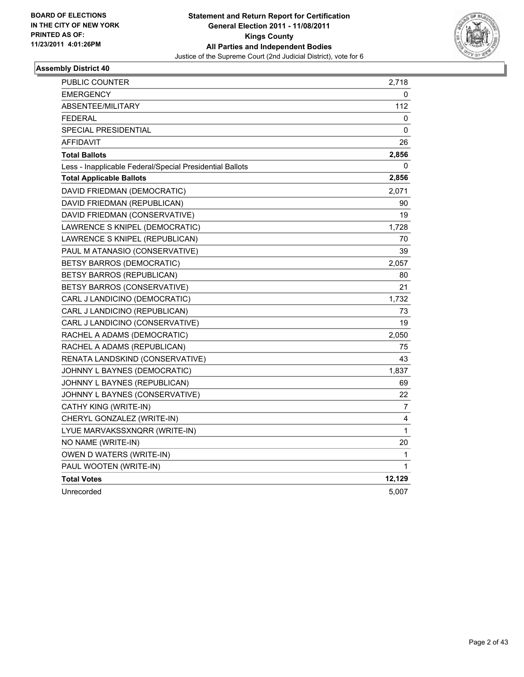

| PUBLIC COUNTER                                           | 2,718  |
|----------------------------------------------------------|--------|
| <b>EMERGENCY</b>                                         | 0      |
| <b>ABSENTEE/MILITARY</b>                                 | 112    |
| <b>FEDERAL</b>                                           | 0      |
| SPECIAL PRESIDENTIAL                                     | 0      |
| AFFIDAVIT                                                | 26     |
| <b>Total Ballots</b>                                     | 2,856  |
| Less - Inapplicable Federal/Special Presidential Ballots | 0      |
| <b>Total Applicable Ballots</b>                          | 2,856  |
| DAVID FRIEDMAN (DEMOCRATIC)                              | 2,071  |
| DAVID FRIEDMAN (REPUBLICAN)                              | 90     |
| DAVID FRIEDMAN (CONSERVATIVE)                            | 19     |
| LAWRENCE S KNIPEL (DEMOCRATIC)                           | 1,728  |
| LAWRENCE S KNIPEL (REPUBLICAN)                           | 70     |
| PAUL M ATANASIO (CONSERVATIVE)                           | 39     |
| BETSY BARROS (DEMOCRATIC)                                | 2,057  |
| BETSY BARROS (REPUBLICAN)                                | 80     |
| BETSY BARROS (CONSERVATIVE)                              | 21     |
| CARL J LANDICINO (DEMOCRATIC)                            | 1,732  |
| CARL J LANDICINO (REPUBLICAN)                            | 73     |
| CARL J LANDICINO (CONSERVATIVE)                          | 19     |
| RACHEL A ADAMS (DEMOCRATIC)                              | 2,050  |
| RACHEL A ADAMS (REPUBLICAN)                              | 75     |
| RENATA LANDSKIND (CONSERVATIVE)                          | 43     |
| JOHNNY L BAYNES (DEMOCRATIC)                             | 1,837  |
| JOHNNY L BAYNES (REPUBLICAN)                             | 69     |
| JOHNNY L BAYNES (CONSERVATIVE)                           | 22     |
| CATHY KING (WRITE-IN)                                    | 7      |
| CHERYL GONZALEZ (WRITE-IN)                               | 4      |
| LYUE MARVAKSSXNQRR (WRITE-IN)                            | 1      |
| NO NAME (WRITE-IN)                                       | 20     |
| OWEN D WATERS (WRITE-IN)                                 | 1      |
| PAUL WOOTEN (WRITE-IN)                                   | 1      |
| <b>Total Votes</b>                                       | 12,129 |
| Unrecorded                                               | 5,007  |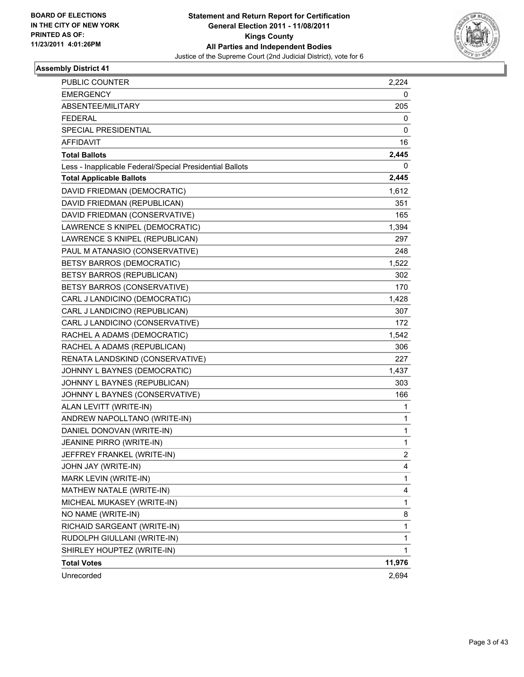

| <b>PUBLIC COUNTER</b>                                    | 2,224          |
|----------------------------------------------------------|----------------|
| <b>EMERGENCY</b>                                         | 0              |
| ABSENTEE/MILITARY                                        | 205            |
| <b>FEDERAL</b>                                           | 0              |
| <b>SPECIAL PRESIDENTIAL</b>                              | 0              |
| AFFIDAVIT                                                | 16             |
| <b>Total Ballots</b>                                     | 2,445          |
| Less - Inapplicable Federal/Special Presidential Ballots | 0              |
| <b>Total Applicable Ballots</b>                          | 2,445          |
| DAVID FRIEDMAN (DEMOCRATIC)                              | 1,612          |
| DAVID FRIEDMAN (REPUBLICAN)                              | 351            |
| DAVID FRIEDMAN (CONSERVATIVE)                            | 165            |
| LAWRENCE S KNIPEL (DEMOCRATIC)                           | 1,394          |
| LAWRENCE S KNIPEL (REPUBLICAN)                           | 297            |
| PAUL M ATANASIO (CONSERVATIVE)                           | 248            |
| BETSY BARROS (DEMOCRATIC)                                | 1,522          |
| BETSY BARROS (REPUBLICAN)                                | 302            |
| BETSY BARROS (CONSERVATIVE)                              | 170            |
| CARL J LANDICINO (DEMOCRATIC)                            | 1,428          |
| CARL J LANDICINO (REPUBLICAN)                            | 307            |
| CARL J LANDICINO (CONSERVATIVE)                          | 172            |
| RACHEL A ADAMS (DEMOCRATIC)                              | 1,542          |
| RACHEL A ADAMS (REPUBLICAN)                              | 306            |
| RENATA LANDSKIND (CONSERVATIVE)                          | 227            |
| JOHNNY L BAYNES (DEMOCRATIC)                             | 1,437          |
| JOHNNY L BAYNES (REPUBLICAN)                             | 303            |
| JOHNNY L BAYNES (CONSERVATIVE)                           | 166            |
| ALAN LEVITT (WRITE-IN)                                   | 1              |
| ANDREW NAPOLLTANO (WRITE-IN)                             | 1              |
| DANIEL DONOVAN (WRITE-IN)                                | 1              |
| JEANINE PIRRO (WRITE-IN)                                 | 1              |
| JEFFREY FRANKEL (WRITE-IN)                               | $\overline{2}$ |
| JOHN JAY (WRITE-IN)                                      | 4              |
| MARK LEVIN (WRITE-IN)                                    | 1              |
| MATHEW NATALE (WRITE-IN)                                 | 4              |
| MICHEAL MUKASEY (WRITE-IN)                               | 1              |
| NO NAME (WRITE-IN)                                       | 8              |
| RICHAID SARGEANT (WRITE-IN)                              | 1              |
| RUDOLPH GIULLANI (WRITE-IN)                              | 1              |
| SHIRLEY HOUPTEZ (WRITE-IN)                               | $\mathbf{1}$   |
| <b>Total Votes</b>                                       | 11,976         |
| Unrecorded                                               | 2,694          |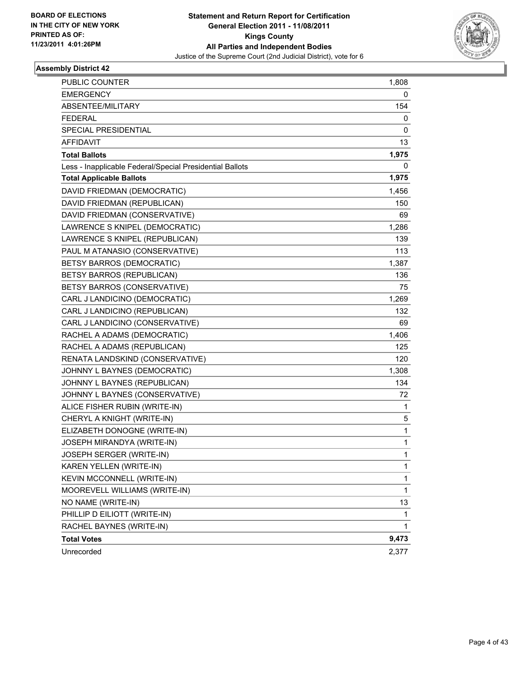

| <b>PUBLIC COUNTER</b>                                    | 1,808        |
|----------------------------------------------------------|--------------|
| <b>EMERGENCY</b>                                         | 0            |
| ABSENTEE/MILITARY                                        | 154          |
| <b>FEDERAL</b>                                           | 0            |
| <b>SPECIAL PRESIDENTIAL</b>                              | 0            |
| <b>AFFIDAVIT</b>                                         | 13           |
| <b>Total Ballots</b>                                     | 1,975        |
| Less - Inapplicable Federal/Special Presidential Ballots | 0            |
| <b>Total Applicable Ballots</b>                          | 1,975        |
| DAVID FRIEDMAN (DEMOCRATIC)                              | 1,456        |
| DAVID FRIEDMAN (REPUBLICAN)                              | 150          |
| DAVID FRIEDMAN (CONSERVATIVE)                            | 69           |
| LAWRENCE S KNIPEL (DEMOCRATIC)                           | 1,286        |
| LAWRENCE S KNIPEL (REPUBLICAN)                           | 139          |
| PAUL M ATANASIO (CONSERVATIVE)                           | 113          |
| BETSY BARROS (DEMOCRATIC)                                | 1,387        |
| BETSY BARROS (REPUBLICAN)                                | 136          |
| BETSY BARROS (CONSERVATIVE)                              | 75           |
| CARL J LANDICINO (DEMOCRATIC)                            | 1,269        |
| CARL J LANDICINO (REPUBLICAN)                            | 132          |
| CARL J LANDICINO (CONSERVATIVE)                          | 69           |
| RACHEL A ADAMS (DEMOCRATIC)                              | 1,406        |
| RACHEL A ADAMS (REPUBLICAN)                              | 125          |
| RENATA LANDSKIND (CONSERVATIVE)                          | 120          |
| JOHNNY L BAYNES (DEMOCRATIC)                             | 1,308        |
| JOHNNY L BAYNES (REPUBLICAN)                             | 134          |
| JOHNNY L BAYNES (CONSERVATIVE)                           | 72           |
| ALICE FISHER RUBIN (WRITE-IN)                            | 1            |
| CHERYL A KNIGHT (WRITE-IN)                               | 5            |
| ELIZABETH DONOGNE (WRITE-IN)                             | 1            |
| JOSEPH MIRANDYA (WRITE-IN)                               | 1            |
| JOSEPH SERGER (WRITE-IN)                                 | 1            |
| KAREN YELLEN (WRITE-IN)                                  | 1            |
| KEVIN MCCONNELL (WRITE-IN)                               | 1            |
| MOOREVELL WILLIAMS (WRITE-IN)                            | 1            |
| NO NAME (WRITE-IN)                                       | 13           |
| PHILLIP D EILIOTT (WRITE-IN)                             | $\mathbf{1}$ |
| RACHEL BAYNES (WRITE-IN)                                 | 1            |
| <b>Total Votes</b>                                       | 9,473        |
| Unrecorded                                               | 2,377        |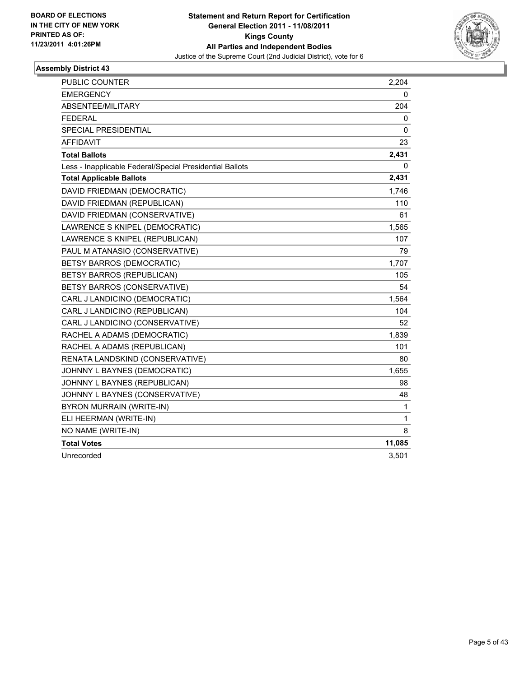

| PUBLIC COUNTER                                           | 2,204        |
|----------------------------------------------------------|--------------|
| <b>EMERGENCY</b>                                         | 0            |
| ABSENTEE/MILITARY                                        | 204          |
| <b>FEDERAL</b>                                           | 0            |
| SPECIAL PRESIDENTIAL                                     | 0            |
| AFFIDAVIT                                                | 23           |
| <b>Total Ballots</b>                                     | 2,431        |
| Less - Inapplicable Federal/Special Presidential Ballots | 0            |
| <b>Total Applicable Ballots</b>                          | 2,431        |
| DAVID FRIEDMAN (DEMOCRATIC)                              | 1,746        |
| DAVID FRIEDMAN (REPUBLICAN)                              | 110          |
| DAVID FRIEDMAN (CONSERVATIVE)                            | 61           |
| LAWRENCE S KNIPEL (DEMOCRATIC)                           | 1,565        |
| LAWRENCE S KNIPEL (REPUBLICAN)                           | 107          |
| PAUL M ATANASIO (CONSERVATIVE)                           | 79           |
| <b>BETSY BARROS (DEMOCRATIC)</b>                         | 1,707        |
| BETSY BARROS (REPUBLICAN)                                | 105          |
| BETSY BARROS (CONSERVATIVE)                              | 54           |
| CARL J LANDICINO (DEMOCRATIC)                            | 1,564        |
| CARL J LANDICINO (REPUBLICAN)                            | 104          |
| CARL J LANDICINO (CONSERVATIVE)                          | 52           |
| RACHEL A ADAMS (DEMOCRATIC)                              | 1,839        |
| RACHEL A ADAMS (REPUBLICAN)                              | 101          |
| RENATA LANDSKIND (CONSERVATIVE)                          | 80           |
| JOHNNY L BAYNES (DEMOCRATIC)                             | 1,655        |
| JOHNNY L BAYNES (REPUBLICAN)                             | 98           |
| JOHNNY L BAYNES (CONSERVATIVE)                           | 48           |
| BYRON MURRAIN (WRITE-IN)                                 | $\mathbf{1}$ |
| ELI HEERMAN (WRITE-IN)                                   | 1            |
| NO NAME (WRITE-IN)                                       | 8            |
| <b>Total Votes</b>                                       | 11,085       |
| Unrecorded                                               | 3,501        |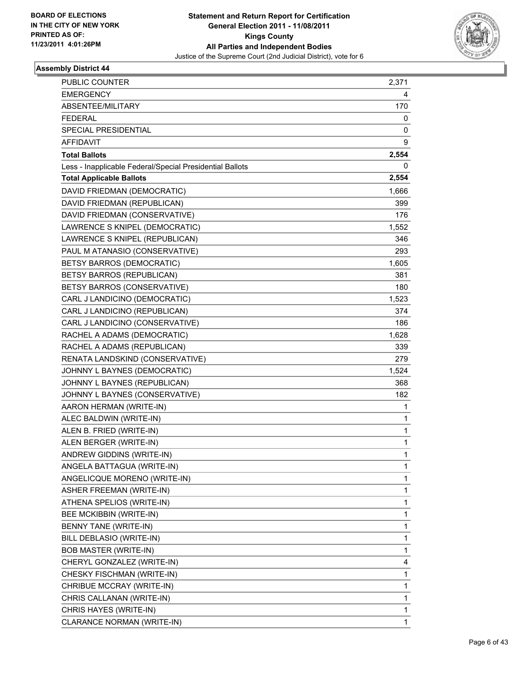

| <b>PUBLIC COUNTER</b>                                    | 2,371 |
|----------------------------------------------------------|-------|
| <b>EMERGENCY</b>                                         | 4     |
| ABSENTEE/MILITARY                                        | 170   |
| <b>FEDERAL</b>                                           | 0     |
| SPECIAL PRESIDENTIAL                                     | 0     |
| AFFIDAVIT                                                | 9     |
| <b>Total Ballots</b>                                     | 2,554 |
| Less - Inapplicable Federal/Special Presidential Ballots | 0     |
| <b>Total Applicable Ballots</b>                          | 2,554 |
| DAVID FRIEDMAN (DEMOCRATIC)                              | 1,666 |
| DAVID FRIEDMAN (REPUBLICAN)                              | 399   |
| DAVID FRIEDMAN (CONSERVATIVE)                            | 176   |
| LAWRENCE S KNIPEL (DEMOCRATIC)                           | 1,552 |
| LAWRENCE S KNIPEL (REPUBLICAN)                           | 346   |
| PAUL M ATANASIO (CONSERVATIVE)                           | 293   |
| BETSY BARROS (DEMOCRATIC)                                | 1,605 |
| BETSY BARROS (REPUBLICAN)                                | 381   |
| BETSY BARROS (CONSERVATIVE)                              | 180   |
| CARL J LANDICINO (DEMOCRATIC)                            | 1,523 |
| CARL J LANDICINO (REPUBLICAN)                            | 374   |
| CARL J LANDICINO (CONSERVATIVE)                          | 186   |
| RACHEL A ADAMS (DEMOCRATIC)                              | 1,628 |
| RACHEL A ADAMS (REPUBLICAN)                              | 339   |
| RENATA LANDSKIND (CONSERVATIVE)                          | 279   |
| JOHNNY L BAYNES (DEMOCRATIC)                             | 1,524 |
| JOHNNY L BAYNES (REPUBLICAN)                             | 368   |
| JOHNNY L BAYNES (CONSERVATIVE)                           | 182   |
| AARON HERMAN (WRITE-IN)                                  | 1     |
| ALEC BALDWIN (WRITE-IN)                                  | 1     |
| ALEN B. FRIED (WRITE-IN)                                 | 1     |
| ALEN BERGER (WRITE-IN)                                   | 1     |
| ANDREW GIDDINS (WRITE-IN)                                | 1     |
| ANGELA BATTAGUA (WRITE-IN)                               | 1     |
| ANGELICQUE MORENO (WRITE-IN)                             | 1     |
| ASHER FREEMAN (WRITE-IN)                                 | 1     |
| ATHENA SPELIOS (WRITE-IN)                                | 1     |
| BEE MCKIBBIN (WRITE-IN)                                  | 1     |
| BENNY TANE (WRITE-IN)                                    | 1     |
| BILL DEBLASIO (WRITE-IN)                                 | 1     |
| <b>BOB MASTER (WRITE-IN)</b>                             | 1     |
| CHERYL GONZALEZ (WRITE-IN)                               | 4     |
| CHESKY FISCHMAN (WRITE-IN)                               | 1     |
| CHRIBUE MCCRAY (WRITE-IN)                                | 1     |
| CHRIS CALLANAN (WRITE-IN)                                | 1     |
| CHRIS HAYES (WRITE-IN)                                   | 1     |
| CLARANCE NORMAN (WRITE-IN)                               | 1     |
|                                                          |       |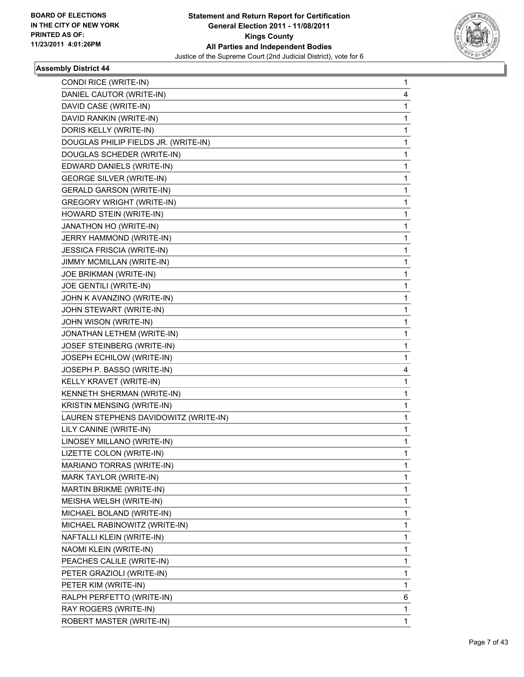

| DANIEL CAUTOR (WRITE-IN)<br>DAVID CASE (WRITE-IN)<br>DAVID RANKIN (WRITE-IN)<br>DORIS KELLY (WRITE-IN)<br>DOUGLAS PHILIP FIELDS JR. (WRITE-IN)<br>DOUGLAS SCHEDER (WRITE-IN)<br>EDWARD DANIELS (WRITE-IN)<br><b>GEORGE SILVER (WRITE-IN)</b><br><b>GERALD GARSON (WRITE-IN)</b> | 4<br>1<br>1<br>1<br>1<br>1<br>1<br>1<br>1<br>1<br>1<br>1 |
|---------------------------------------------------------------------------------------------------------------------------------------------------------------------------------------------------------------------------------------------------------------------------------|----------------------------------------------------------|
|                                                                                                                                                                                                                                                                                 |                                                          |
|                                                                                                                                                                                                                                                                                 |                                                          |
|                                                                                                                                                                                                                                                                                 |                                                          |
|                                                                                                                                                                                                                                                                                 |                                                          |
|                                                                                                                                                                                                                                                                                 |                                                          |
|                                                                                                                                                                                                                                                                                 |                                                          |
|                                                                                                                                                                                                                                                                                 |                                                          |
|                                                                                                                                                                                                                                                                                 |                                                          |
|                                                                                                                                                                                                                                                                                 |                                                          |
| <b>GREGORY WRIGHT (WRITE-IN)</b>                                                                                                                                                                                                                                                |                                                          |
| HOWARD STEIN (WRITE-IN)                                                                                                                                                                                                                                                         |                                                          |
| JANATHON HO (WRITE-IN)                                                                                                                                                                                                                                                          |                                                          |
| JERRY HAMMOND (WRITE-IN)                                                                                                                                                                                                                                                        | 1                                                        |
| <b>JESSICA FRISCIA (WRITE-IN)</b>                                                                                                                                                                                                                                               | 1                                                        |
| JIMMY MCMILLAN (WRITE-IN)                                                                                                                                                                                                                                                       | 1                                                        |
| JOE BRIKMAN (WRITE-IN)                                                                                                                                                                                                                                                          | 1                                                        |
| JOE GENTILI (WRITE-IN)                                                                                                                                                                                                                                                          | 1                                                        |
| JOHN K AVANZINO (WRITE-IN)                                                                                                                                                                                                                                                      | 1                                                        |
| JOHN STEWART (WRITE-IN)                                                                                                                                                                                                                                                         | 1                                                        |
| JOHN WISON (WRITE-IN)                                                                                                                                                                                                                                                           | 1                                                        |
| JONATHAN LETHEM (WRITE-IN)                                                                                                                                                                                                                                                      | $\mathbf{1}$                                             |
| JOSEF STEINBERG (WRITE-IN)                                                                                                                                                                                                                                                      | 1                                                        |
| JOSEPH ECHILOW (WRITE-IN)                                                                                                                                                                                                                                                       | 1                                                        |
| JOSEPH P. BASSO (WRITE-IN)                                                                                                                                                                                                                                                      | 4                                                        |
| KELLY KRAVET (WRITE-IN)                                                                                                                                                                                                                                                         | 1                                                        |
| KENNETH SHERMAN (WRITE-IN)                                                                                                                                                                                                                                                      | 1                                                        |
| KRISTIN MENSING (WRITE-IN)                                                                                                                                                                                                                                                      | 1                                                        |
| LAUREN STEPHENS DAVIDOWITZ (WRITE-IN)                                                                                                                                                                                                                                           | 1                                                        |
| LILY CANINE (WRITE-IN)                                                                                                                                                                                                                                                          | 1                                                        |
| LINOSEY MILLANO (WRITE-IN)                                                                                                                                                                                                                                                      | 1                                                        |
| LIZETTE COLON (WRITE-IN)                                                                                                                                                                                                                                                        | 1                                                        |
| MARIANO TORRAS (WRITE-IN)                                                                                                                                                                                                                                                       | 1                                                        |
| MARK TAYLOR (WRITE-IN)                                                                                                                                                                                                                                                          | 1                                                        |
| MARTIN BRIKME (WRITE-IN)                                                                                                                                                                                                                                                        | 1                                                        |
| MEISHA WELSH (WRITE-IN)                                                                                                                                                                                                                                                         | 1                                                        |
| MICHAEL BOLAND (WRITE-IN)                                                                                                                                                                                                                                                       | 1                                                        |
| MICHAEL RABINOWITZ (WRITE-IN)                                                                                                                                                                                                                                                   | 1                                                        |
| NAFTALLI KLEIN (WRITE-IN)                                                                                                                                                                                                                                                       | 1                                                        |
| NAOMI KLEIN (WRITE-IN)                                                                                                                                                                                                                                                          | 1                                                        |
| PEACHES CALILE (WRITE-IN)                                                                                                                                                                                                                                                       | 1                                                        |
| PETER GRAZIOLI (WRITE-IN)                                                                                                                                                                                                                                                       | 1                                                        |
| PETER KIM (WRITE-IN)                                                                                                                                                                                                                                                            | 1                                                        |
| RALPH PERFETTO (WRITE-IN)                                                                                                                                                                                                                                                       | 6                                                        |
| RAY ROGERS (WRITE-IN)                                                                                                                                                                                                                                                           | 1                                                        |
| ROBERT MASTER (WRITE-IN)                                                                                                                                                                                                                                                        | 1                                                        |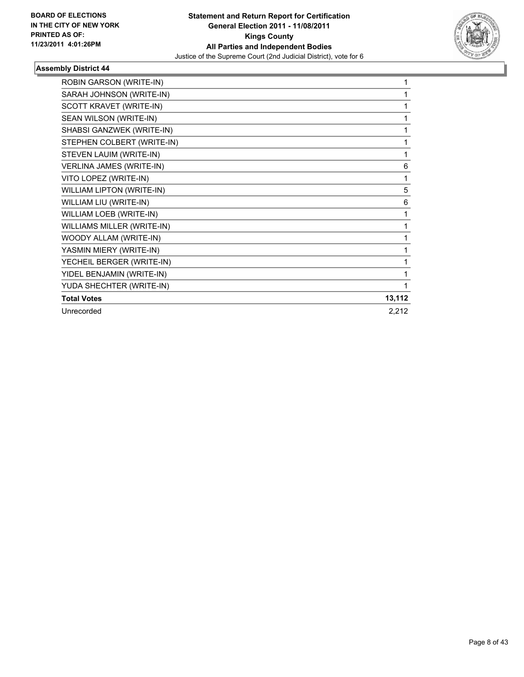

| ROBIN GARSON (WRITE-IN)    | 1      |
|----------------------------|--------|
| SARAH JOHNSON (WRITE-IN)   | 1      |
| SCOTT KRAVET (WRITE-IN)    | 1      |
| SEAN WILSON (WRITE-IN)     | 1      |
| SHABSI GANZWEK (WRITE-IN)  | 1      |
| STEPHEN COLBERT (WRITE-IN) | 1      |
| STEVEN LAUIM (WRITE-IN)    | 1      |
| VERLINA JAMES (WRITE-IN)   | 6      |
| VITO LOPEZ (WRITE-IN)      | 1      |
| WILLIAM LIPTON (WRITE-IN)  | 5      |
| WILLIAM LIU (WRITE-IN)     | 6      |
| WILLIAM LOEB (WRITE-IN)    | 1      |
| WILLIAMS MILLER (WRITE-IN) | 1      |
| WOODY ALLAM (WRITE-IN)     | 1      |
| YASMIN MIERY (WRITE-IN)    | 1      |
| YECHEIL BERGER (WRITE-IN)  | 1      |
| YIDEL BENJAMIN (WRITE-IN)  | 1      |
| YUDA SHECHTER (WRITE-IN)   | 1      |
| <b>Total Votes</b>         | 13,112 |
| Unrecorded                 | 2,212  |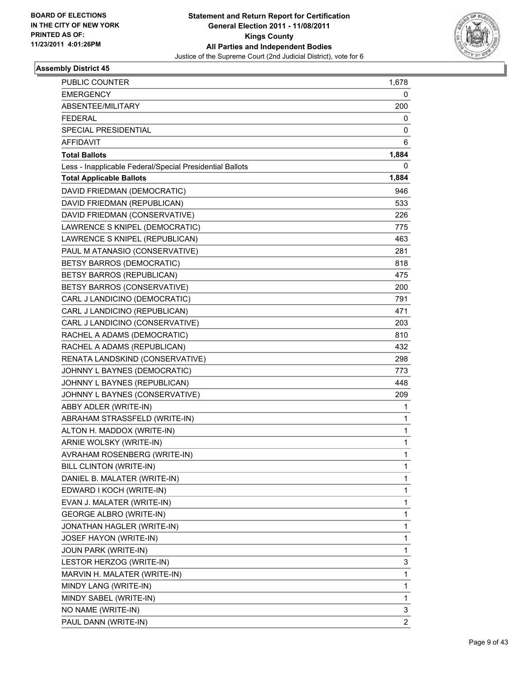

| <b>PUBLIC COUNTER</b>                                    | 1,678 |
|----------------------------------------------------------|-------|
| <b>EMERGENCY</b>                                         | 0     |
| ABSENTEE/MILITARY                                        | 200   |
| <b>FEDERAL</b>                                           | 0     |
| SPECIAL PRESIDENTIAL                                     | 0     |
| AFFIDAVIT                                                | 6     |
| <b>Total Ballots</b>                                     | 1,884 |
| Less - Inapplicable Federal/Special Presidential Ballots | 0     |
| <b>Total Applicable Ballots</b>                          | 1,884 |
| DAVID FRIEDMAN (DEMOCRATIC)                              | 946   |
| DAVID FRIEDMAN (REPUBLICAN)                              | 533   |
| DAVID FRIEDMAN (CONSERVATIVE)                            | 226   |
| LAWRENCE S KNIPEL (DEMOCRATIC)                           | 775   |
| LAWRENCE S KNIPEL (REPUBLICAN)                           | 463   |
| PAUL M ATANASIO (CONSERVATIVE)                           | 281   |
| <b>BETSY BARROS (DEMOCRATIC)</b>                         | 818   |
| BETSY BARROS (REPUBLICAN)                                | 475   |
| BETSY BARROS (CONSERVATIVE)                              | 200   |
| CARL J LANDICINO (DEMOCRATIC)                            | 791   |
| CARL J LANDICINO (REPUBLICAN)                            | 471   |
| CARL J LANDICINO (CONSERVATIVE)                          | 203   |
| RACHEL A ADAMS (DEMOCRATIC)                              | 810   |
| RACHEL A ADAMS (REPUBLICAN)                              | 432   |
| RENATA LANDSKIND (CONSERVATIVE)                          | 298   |
| JOHNNY L BAYNES (DEMOCRATIC)                             | 773   |
| JOHNNY L BAYNES (REPUBLICAN)                             | 448   |
| JOHNNY L BAYNES (CONSERVATIVE)                           | 209   |
| ABBY ADLER (WRITE-IN)                                    | 1     |
| ABRAHAM STRASSFELD (WRITE-IN)                            | 1     |
| ALTON H. MADDOX (WRITE-IN)                               | 1     |
| ARNIE WOLSKY (WRITE-IN)                                  | 1     |
| AVRAHAM ROSENBERG (WRITE-IN)                             | 1     |
| BILL CLINTON (WRITE-IN)                                  | 1     |
| DANIEL B. MALATER (WRITE-IN)                             | 1     |
| EDWARD I KOCH (WRITE-IN)                                 | 1     |
| EVAN J. MALATER (WRITE-IN)                               | 1     |
| GEORGE ALBRO (WRITE-IN)                                  | 1     |
| JONATHAN HAGLER (WRITE-IN)                               | 1     |
| JOSEF HAYON (WRITE-IN)                                   | 1     |
| JOUN PARK (WRITE-IN)                                     | 1     |
| LESTOR HERZOG (WRITE-IN)                                 | 3     |
| MARVIN H. MALATER (WRITE-IN)                             | 1     |
| MINDY LANG (WRITE-IN)                                    | 1     |
| MINDY SABEL (WRITE-IN)                                   | 1     |
| NO NAME (WRITE-IN)                                       | 3     |
| PAUL DANN (WRITE-IN)                                     | 2     |
|                                                          |       |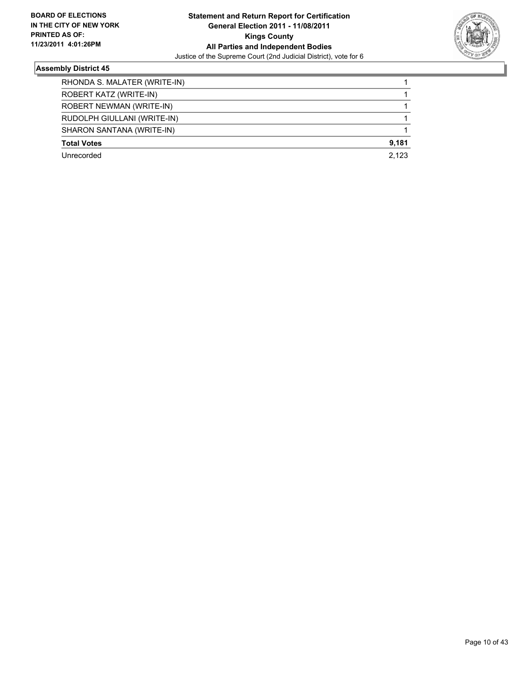

| RHONDA S. MALATER (WRITE-IN) |       |
|------------------------------|-------|
| ROBERT KATZ (WRITE-IN)       |       |
| ROBERT NEWMAN (WRITE-IN)     |       |
| RUDOLPH GIULLANI (WRITE-IN)  |       |
| SHARON SANTANA (WRITE-IN)    |       |
| <b>Total Votes</b>           | 9,181 |
| Unrecorded                   | 2.123 |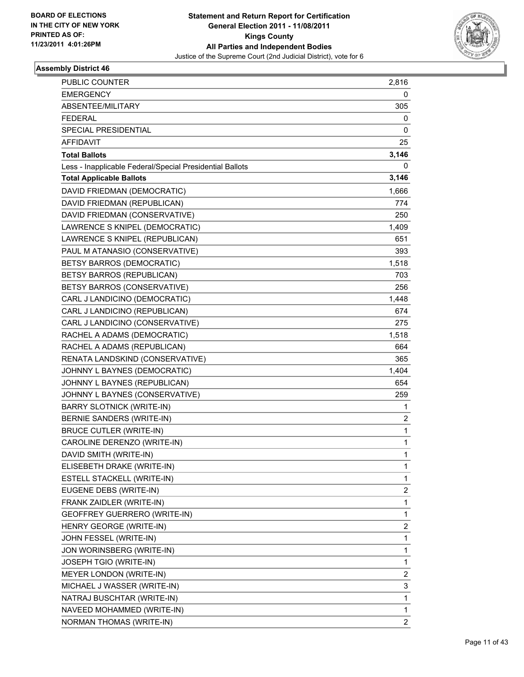

| <b>PUBLIC COUNTER</b>                                    | 2,816          |
|----------------------------------------------------------|----------------|
| <b>EMERGENCY</b>                                         | 0              |
| ABSENTEE/MILITARY                                        | 305            |
| <b>FEDERAL</b>                                           | 0              |
| SPECIAL PRESIDENTIAL                                     | 0              |
| AFFIDAVIT                                                | 25             |
| <b>Total Ballots</b>                                     | 3,146          |
| Less - Inapplicable Federal/Special Presidential Ballots | 0              |
| <b>Total Applicable Ballots</b>                          | 3,146          |
| DAVID FRIEDMAN (DEMOCRATIC)                              | 1,666          |
| DAVID FRIEDMAN (REPUBLICAN)                              | 774            |
| DAVID FRIEDMAN (CONSERVATIVE)                            | 250            |
| LAWRENCE S KNIPEL (DEMOCRATIC)                           | 1,409          |
| LAWRENCE S KNIPEL (REPUBLICAN)                           | 651            |
| PAUL M ATANASIO (CONSERVATIVE)                           | 393            |
| BETSY BARROS (DEMOCRATIC)                                | 1,518          |
| BETSY BARROS (REPUBLICAN)                                | 703            |
| BETSY BARROS (CONSERVATIVE)                              | 256            |
| CARL J LANDICINO (DEMOCRATIC)                            | 1,448          |
| CARL J LANDICINO (REPUBLICAN)                            | 674            |
| CARL J LANDICINO (CONSERVATIVE)                          | 275            |
| RACHEL A ADAMS (DEMOCRATIC)                              | 1,518          |
| RACHEL A ADAMS (REPUBLICAN)                              | 664            |
| RENATA LANDSKIND (CONSERVATIVE)                          | 365            |
| JOHNNY L BAYNES (DEMOCRATIC)                             | 1,404          |
| JOHNNY L BAYNES (REPUBLICAN)                             | 654            |
| JOHNNY L BAYNES (CONSERVATIVE)                           | 259            |
| <b>BARRY SLOTNICK (WRITE-IN)</b>                         | 1              |
| BERNIE SANDERS (WRITE-IN)                                | 2              |
| <b>BRUCE CUTLER (WRITE-IN)</b>                           | 1              |
| CAROLINE DERENZO (WRITE-IN)                              | 1              |
| DAVID SMITH (WRITE-IN)                                   | 1              |
| ELISEBETH DRAKE (WRITE-IN)                               | 1              |
| ESTELL STACKELL (WRITE-IN)                               | 1              |
| EUGENE DEBS (WRITE-IN)                                   | 2              |
| FRANK ZAIDLER (WRITE-IN)                                 | 1              |
| GEOFFREY GUERRERO (WRITE-IN)                             | 1              |
| HENRY GEORGE (WRITE-IN)                                  | 2              |
| JOHN FESSEL (WRITE-IN)                                   | 1              |
| JON WORINSBERG (WRITE-IN)                                | 1              |
| JOSEPH TGIO (WRITE-IN)                                   | 1              |
| MEYER LONDON (WRITE-IN)                                  | 2              |
| MICHAEL J WASSER (WRITE-IN)                              | 3              |
| NATRAJ BUSCHTAR (WRITE-IN)                               | 1              |
| NAVEED MOHAMMED (WRITE-IN)                               | 1              |
| NORMAN THOMAS (WRITE-IN)                                 | $\overline{2}$ |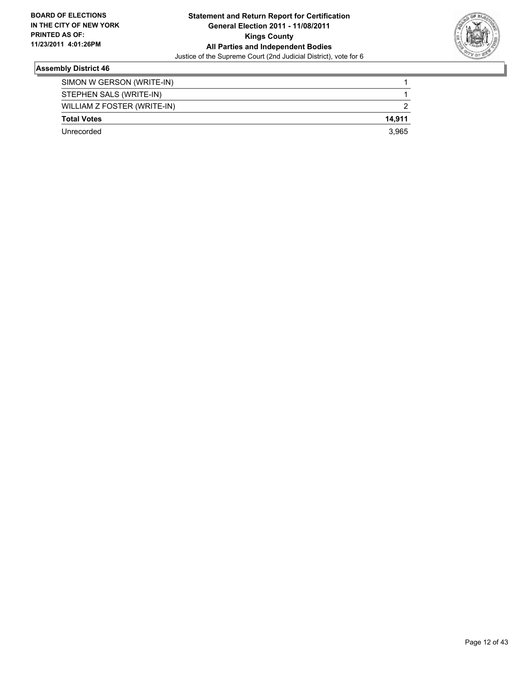

| <b>Total Votes</b><br>Unrecorded | 3.965  |
|----------------------------------|--------|
|                                  | 14.911 |
| WILLIAM Z FOSTER (WRITE-IN)      |        |
| STEPHEN SALS (WRITE-IN)          |        |
| SIMON W GERSON (WRITE-IN)        |        |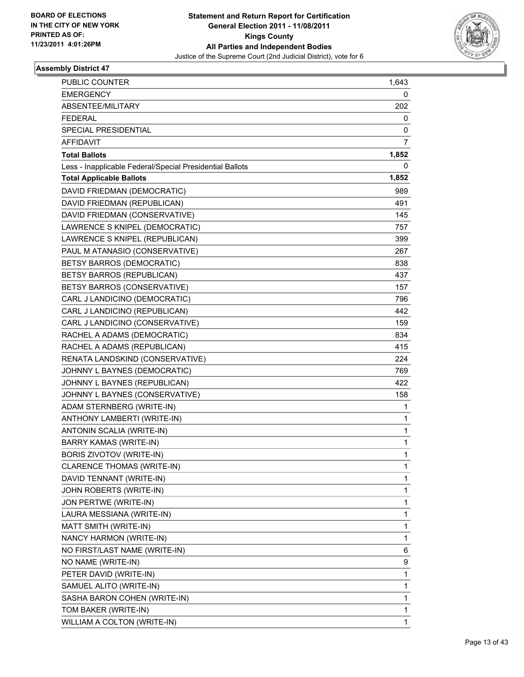

| <b>PUBLIC COUNTER</b>                                    | 1,643          |
|----------------------------------------------------------|----------------|
| <b>EMERGENCY</b>                                         | 0              |
| ABSENTEE/MILITARY                                        | 202            |
| <b>FEDERAL</b>                                           | 0              |
| SPECIAL PRESIDENTIAL                                     | 0              |
| AFFIDAVIT                                                | $\overline{7}$ |
| <b>Total Ballots</b>                                     | 1,852          |
| Less - Inapplicable Federal/Special Presidential Ballots | 0              |
| <b>Total Applicable Ballots</b>                          | 1,852          |
| DAVID FRIEDMAN (DEMOCRATIC)                              | 989            |
| DAVID FRIEDMAN (REPUBLICAN)                              | 491            |
| DAVID FRIEDMAN (CONSERVATIVE)                            | 145            |
| LAWRENCE S KNIPEL (DEMOCRATIC)                           | 757            |
| LAWRENCE S KNIPEL (REPUBLICAN)                           | 399            |
| PAUL M ATANASIO (CONSERVATIVE)                           | 267            |
| BETSY BARROS (DEMOCRATIC)                                | 838            |
| <b>BETSY BARROS (REPUBLICAN)</b>                         | 437            |
| BETSY BARROS (CONSERVATIVE)                              | 157            |
| CARL J LANDICINO (DEMOCRATIC)                            | 796            |
| CARL J LANDICINO (REPUBLICAN)                            | 442            |
| CARL J LANDICINO (CONSERVATIVE)                          | 159            |
| RACHEL A ADAMS (DEMOCRATIC)                              | 834            |
| RACHEL A ADAMS (REPUBLICAN)                              | 415            |
| RENATA LANDSKIND (CONSERVATIVE)                          | 224            |
| JOHNNY L BAYNES (DEMOCRATIC)                             | 769            |
| JOHNNY L BAYNES (REPUBLICAN)                             | 422            |
| JOHNNY L BAYNES (CONSERVATIVE)                           | 158            |
| ADAM STERNBERG (WRITE-IN)                                | 1              |
| ANTHONY LAMBERTI (WRITE-IN)                              | 1              |
| ANTONIN SCALIA (WRITE-IN)                                | 1              |
| <b>BARRY KAMAS (WRITE-IN)</b>                            | 1              |
| <b>BORIS ZIVOTOV (WRITE-IN)</b>                          | 1              |
| CLARENCE THOMAS (WRITE-IN)                               | 1              |
| DAVID TENNANT (WRITE-IN)                                 | 1              |
| JOHN ROBERTS (WRITE-IN)                                  | 1              |
| JON PERTWE (WRITE-IN)                                    | 1              |
| LAURA MESSIANA (WRITE-IN)                                | 1              |
| MATT SMITH (WRITE-IN)                                    | 1              |
| NANCY HARMON (WRITE-IN)                                  | 1              |
| NO FIRST/LAST NAME (WRITE-IN)                            | 6              |
| NO NAME (WRITE-IN)                                       | 9              |
| PETER DAVID (WRITE-IN)                                   | 1              |
| SAMUEL ALITO (WRITE-IN)                                  | 1              |
| SASHA BARON COHEN (WRITE-IN)                             | 1              |
| TOM BAKER (WRITE-IN)                                     | 1              |
| WILLIAM A COLTON (WRITE-IN)                              | 1              |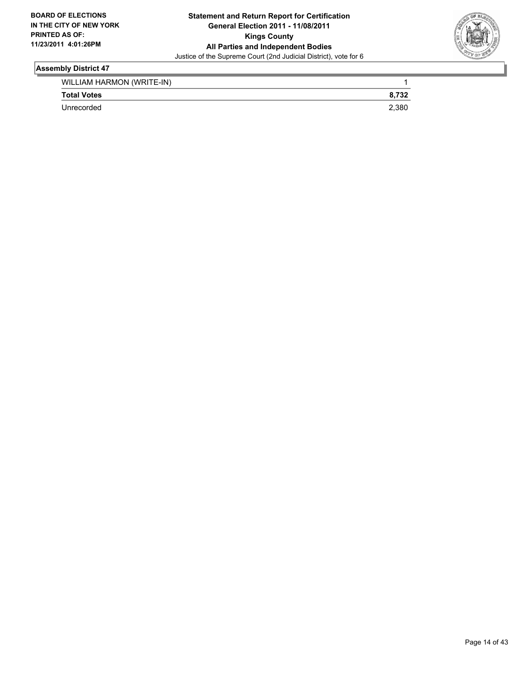

| WILLIAM HARMON (WRITE-IN) |       |
|---------------------------|-------|
| <b>Total Votes</b>        | 8.732 |
| Unrecorded                | 2.380 |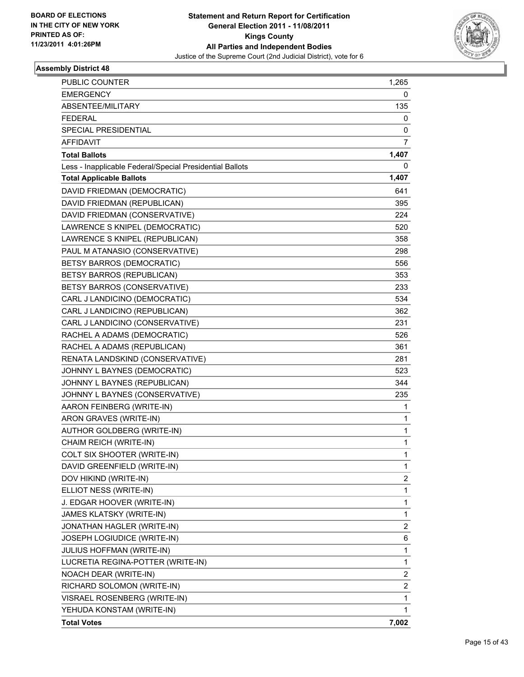

| PUBLIC COUNTER                                           | 1,265 |
|----------------------------------------------------------|-------|
| EMERGENCY                                                | 0     |
| ABSENTEE/MILITARY                                        | 135   |
| <b>FEDERAL</b>                                           | 0     |
| SPECIAL PRESIDENTIAL                                     | 0     |
| AFFIDAVIT                                                | 7     |
| <b>Total Ballots</b>                                     | 1,407 |
| Less - Inapplicable Federal/Special Presidential Ballots | 0     |
| <b>Total Applicable Ballots</b>                          | 1,407 |
| DAVID FRIEDMAN (DEMOCRATIC)                              | 641   |
| DAVID FRIEDMAN (REPUBLICAN)                              | 395   |
| DAVID FRIEDMAN (CONSERVATIVE)                            | 224   |
| LAWRENCE S KNIPEL (DEMOCRATIC)                           | 520   |
| LAWRENCE S KNIPEL (REPUBLICAN)                           | 358   |
| PAUL M ATANASIO (CONSERVATIVE)                           | 298   |
| BETSY BARROS (DEMOCRATIC)                                | 556   |
| BETSY BARROS (REPUBLICAN)                                | 353   |
| BETSY BARROS (CONSERVATIVE)                              | 233   |
| CARL J LANDICINO (DEMOCRATIC)                            | 534   |
| CARL J LANDICINO (REPUBLICAN)                            | 362   |
| CARL J LANDICINO (CONSERVATIVE)                          | 231   |
| RACHEL A ADAMS (DEMOCRATIC)                              | 526   |
| RACHEL A ADAMS (REPUBLICAN)                              | 361   |
| RENATA LANDSKIND (CONSERVATIVE)                          | 281   |
| JOHNNY L BAYNES (DEMOCRATIC)                             | 523   |
| JOHNNY L BAYNES (REPUBLICAN)                             | 344   |
| JOHNNY L BAYNES (CONSERVATIVE)                           | 235   |
| AARON FEINBERG (WRITE-IN)                                | 1     |
| ARON GRAVES (WRITE-IN)                                   | 1     |
| AUTHOR GOLDBERG (WRITE-IN)                               | 1     |
| CHAIM REICH (WRITE-IN)                                   | 1     |
| COLT SIX SHOOTER (WRITE-IN)                              | 1     |
| DAVID GREENFIELD (WRITE-IN)                              | 1     |
| DOV HIKIND (WRITE-IN)                                    | 2     |
| ELLIOT NESS (WRITE-IN)                                   | 1     |
| J. EDGAR HOOVER (WRITE-IN)                               | 1     |
| JAMES KLATSKY (WRITE-IN)                                 | 1     |
| JONATHAN HAGLER (WRITE-IN)                               | 2     |
| JOSEPH LOGIUDICE (WRITE-IN)                              | 6     |
| <b>JULIUS HOFFMAN (WRITE-IN)</b>                         | 1     |
| LUCRETIA REGINA-POTTER (WRITE-IN)                        | 1     |
| NOACH DEAR (WRITE-IN)                                    | 2     |
| RICHARD SOLOMON (WRITE-IN)                               | 2     |
| VISRAEL ROSENBERG (WRITE-IN)                             | 1     |
| YEHUDA KONSTAM (WRITE-IN)                                | 1     |
| <b>Total Votes</b>                                       | 7,002 |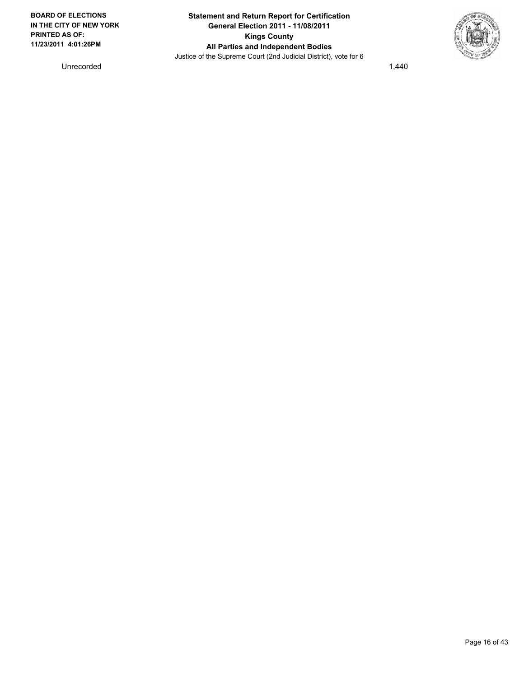

Unrecorded 1,440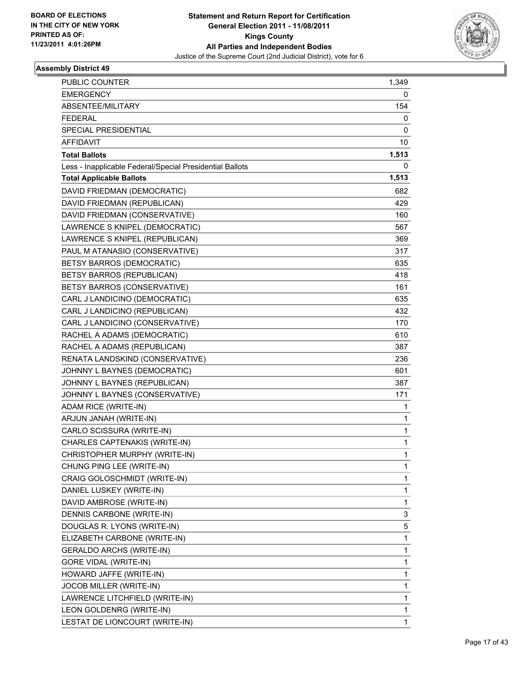

| <b>PUBLIC COUNTER</b>                                    | 1,349        |
|----------------------------------------------------------|--------------|
| <b>EMERGENCY</b>                                         | 0            |
| ABSENTEE/MILITARY                                        | 154          |
| <b>FEDERAL</b>                                           | 0            |
| SPECIAL PRESIDENTIAL                                     | 0            |
| AFFIDAVIT                                                | 10           |
| <b>Total Ballots</b>                                     | 1,513        |
| Less - Inapplicable Federal/Special Presidential Ballots | 0            |
| <b>Total Applicable Ballots</b>                          | 1,513        |
| DAVID FRIEDMAN (DEMOCRATIC)                              | 682          |
| DAVID FRIEDMAN (REPUBLICAN)                              | 429          |
| DAVID FRIEDMAN (CONSERVATIVE)                            | 160          |
| LAWRENCE S KNIPEL (DEMOCRATIC)                           | 567.         |
| LAWRENCE S KNIPEL (REPUBLICAN)                           | 369          |
| PAUL M ATANASIO (CONSERVATIVE)                           | 317          |
| BETSY BARROS (DEMOCRATIC)                                | 635          |
| <b>BETSY BARROS (REPUBLICAN)</b>                         | 418          |
| BETSY BARROS (CONSERVATIVE)                              | 161          |
| CARL J LANDICINO (DEMOCRATIC)                            | 635          |
| CARL J LANDICINO (REPUBLICAN)                            | 432          |
| CARL J LANDICINO (CONSERVATIVE)                          | 170          |
| RACHEL A ADAMS (DEMOCRATIC)                              | 610          |
| RACHEL A ADAMS (REPUBLICAN)                              | 387          |
| RENATA LANDSKIND (CONSERVATIVE)                          | 236          |
| JOHNNY L BAYNES (DEMOCRATIC)                             | 601          |
| JOHNNY L BAYNES (REPUBLICAN)                             | 387          |
| JOHNNY L BAYNES (CONSERVATIVE)                           | 171          |
| ADAM RICE (WRITE-IN)                                     | 1            |
| ARJUN JANAH (WRITE-IN)                                   | 1            |
| CARLO SCISSURA (WRITE-IN)                                | 1            |
| CHARLES CAPTENAKIS (WRITE-IN)                            | 1            |
| CHRISTOPHER MURPHY (WRITE-IN)                            | 1            |
| CHUNG PING LEE (WRITE-IN)                                | 1            |
| CRAIG GOLOSCHMIDT (WRITE-IN)                             | 1            |
| DANIEL LUSKEY (WRITE-IN)                                 | 1            |
| DAVID AMBROSE (WRITE-IN)                                 | 1            |
| DENNIS CARBONE (WRITE-IN)                                | 3            |
| DOUGLAS R. LYONS (WRITE-IN)                              | 5            |
| ELIZABETH CARBONE (WRITE-IN)                             | 1            |
| <b>GERALDO ARCHS (WRITE-IN)</b>                          | 1            |
| <b>GORE VIDAL (WRITE-IN)</b>                             | 1            |
| HOWARD JAFFE (WRITE-IN)                                  | 1            |
| JOCOB MILLER (WRITE-IN)                                  | 1            |
| LAWRENCE LITCHFIELD (WRITE-IN)                           | 1            |
| LEON GOLDENRG (WRITE-IN)                                 | 1            |
| LESTAT DE LIONCOURT (WRITE-IN)                           | $\mathbf{1}$ |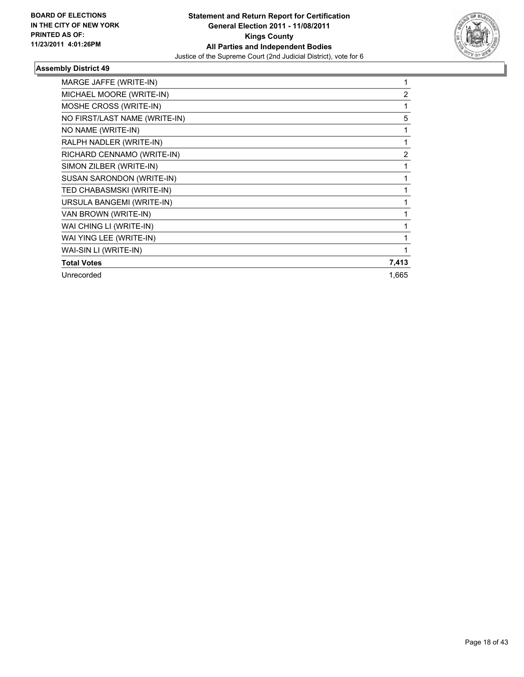

| MARGE JAFFE (WRITE-IN)        |       |
|-------------------------------|-------|
| MICHAEL MOORE (WRITE-IN)      | 2     |
| MOSHE CROSS (WRITE-IN)        |       |
| NO FIRST/LAST NAME (WRITE-IN) | 5     |
| NO NAME (WRITE-IN)            |       |
| RALPH NADLER (WRITE-IN)       |       |
| RICHARD CENNAMO (WRITE-IN)    | 2     |
| SIMON ZILBER (WRITE-IN)       |       |
| SUSAN SARONDON (WRITE-IN)     |       |
| TED CHABASMSKI (WRITE-IN)     |       |
| URSULA BANGEMI (WRITE-IN)     |       |
| VAN BROWN (WRITE-IN)          |       |
| WAI CHING LI (WRITE-IN)       |       |
| WAI YING LEE (WRITE-IN)       |       |
| WAI-SIN LI (WRITE-IN)         |       |
| <b>Total Votes</b>            | 7,413 |
| Unrecorded                    | 1,665 |
|                               |       |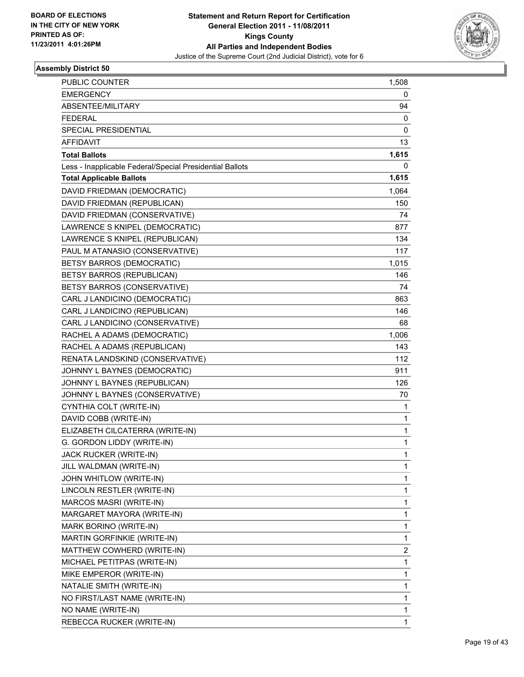

| PUBLIC COUNTER                                           | 1,508 |
|----------------------------------------------------------|-------|
| <b>EMERGENCY</b>                                         | 0     |
| ABSENTEE/MILITARY                                        | 94    |
| <b>FEDERAL</b>                                           | 0     |
| SPECIAL PRESIDENTIAL                                     | 0     |
| AFFIDAVIT                                                | 13    |
| <b>Total Ballots</b>                                     | 1,615 |
| Less - Inapplicable Federal/Special Presidential Ballots | 0     |
| <b>Total Applicable Ballots</b>                          | 1,615 |
| DAVID FRIEDMAN (DEMOCRATIC)                              | 1,064 |
| DAVID FRIEDMAN (REPUBLICAN)                              | 150   |
| DAVID FRIEDMAN (CONSERVATIVE)                            | 74    |
| LAWRENCE S KNIPEL (DEMOCRATIC)                           | 877   |
| LAWRENCE S KNIPEL (REPUBLICAN)                           | 134   |
| PAUL M ATANASIO (CONSERVATIVE)                           | 117   |
| BETSY BARROS (DEMOCRATIC)                                | 1,015 |
| BETSY BARROS (REPUBLICAN)                                | 146   |
| BETSY BARROS (CONSERVATIVE)                              | 74    |
| CARL J LANDICINO (DEMOCRATIC)                            | 863   |
| CARL J LANDICINO (REPUBLICAN)                            | 146   |
| CARL J LANDICINO (CONSERVATIVE)                          | 68    |
| RACHEL A ADAMS (DEMOCRATIC)                              | 1,006 |
| RACHEL A ADAMS (REPUBLICAN)                              | 143   |
| RENATA LANDSKIND (CONSERVATIVE)                          | 112   |
| JOHNNY L BAYNES (DEMOCRATIC)                             | 911   |
| JOHNNY L BAYNES (REPUBLICAN)                             | 126   |
| JOHNNY L BAYNES (CONSERVATIVE)                           | 70    |
| CYNTHIA COLT (WRITE-IN)                                  | 1     |
| DAVID COBB (WRITE-IN)                                    | 1     |
| ELIZABETH CILCATERRA (WRITE-IN)                          | 1     |
| G. GORDON LIDDY (WRITE-IN)                               | 1     |
| JACK RUCKER (WRITE-IN)                                   | 1     |
| JILL WALDMAN (WRITE-IN)                                  | 1     |
| JOHN WHITLOW (WRITE-IN)                                  | 1     |
| LINCOLN RESTLER (WRITE-IN)                               | 1     |
| MARCOS MASRI (WRITE-IN)                                  | 1     |
| MARGARET MAYORA (WRITE-IN)                               | 1     |
| MARK BORINO (WRITE-IN)                                   | 1     |
| MARTIN GORFINKIE (WRITE-IN)                              | 1     |
| MATTHEW COWHERD (WRITE-IN)                               | 2     |
| MICHAEL PETITPAS (WRITE-IN)                              | 1     |
| MIKE EMPEROR (WRITE-IN)                                  | 1     |
| NATALIE SMITH (WRITE-IN)                                 | 1     |
| NO FIRST/LAST NAME (WRITE-IN)                            | 1     |
| NO NAME (WRITE-IN)                                       | 1     |
| REBECCA RUCKER (WRITE-IN)                                | 1     |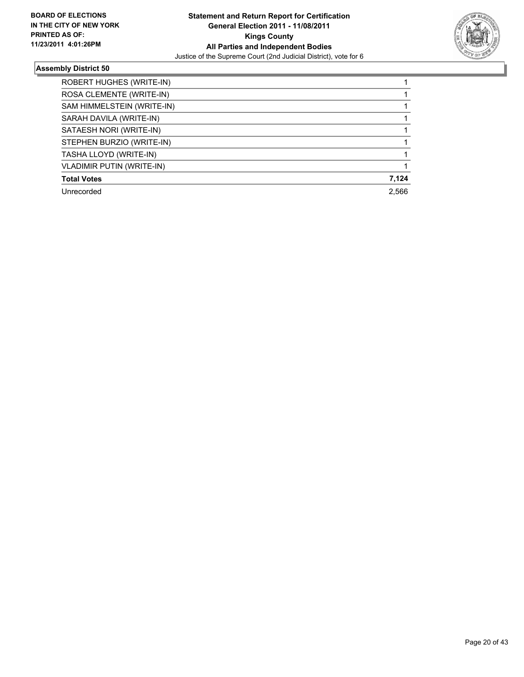

| ROBERT HUGHES (WRITE-IN)         |       |
|----------------------------------|-------|
| ROSA CLEMENTE (WRITE-IN)         |       |
| SAM HIMMELSTEIN (WRITE-IN)       |       |
| SARAH DAVILA (WRITE-IN)          |       |
| SATAESH NORI (WRITE-IN)          |       |
| STEPHEN BURZIO (WRITE-IN)        |       |
| TASHA LLOYD (WRITE-IN)           |       |
| <b>VLADIMIR PUTIN (WRITE-IN)</b> |       |
| <b>Total Votes</b>               | 7,124 |
| Unrecorded                       | 2,566 |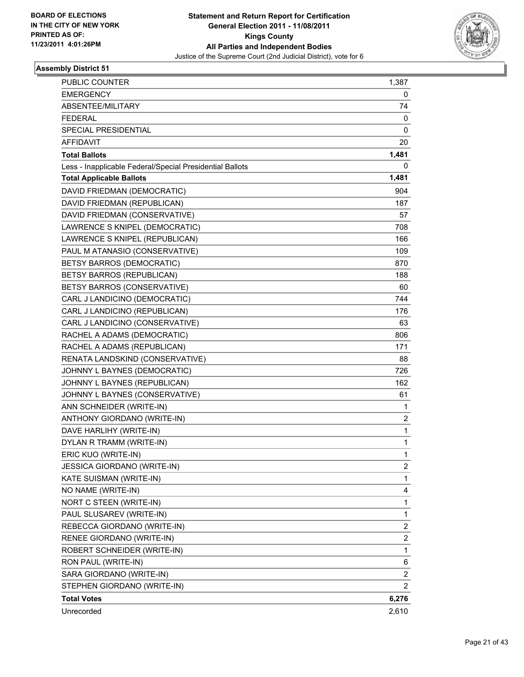

| <b>PUBLIC COUNTER</b>                                    | 1,387       |
|----------------------------------------------------------|-------------|
| <b>EMERGENCY</b>                                         | 0           |
| ABSENTEE/MILITARY                                        | 74          |
| <b>FEDERAL</b>                                           | 0           |
| SPECIAL PRESIDENTIAL                                     | 0           |
| AFFIDAVIT                                                | 20          |
| <b>Total Ballots</b>                                     | 1,481       |
| Less - Inapplicable Federal/Special Presidential Ballots | 0           |
| <b>Total Applicable Ballots</b>                          | 1,481       |
| DAVID FRIEDMAN (DEMOCRATIC)                              | 904         |
| DAVID FRIEDMAN (REPUBLICAN)                              | 187         |
| DAVID FRIEDMAN (CONSERVATIVE)                            | 57          |
| LAWRENCE S KNIPEL (DEMOCRATIC)                           | 708         |
| LAWRENCE S KNIPEL (REPUBLICAN)                           | 166         |
| PAUL M ATANASIO (CONSERVATIVE)                           | 109         |
| <b>BETSY BARROS (DEMOCRATIC)</b>                         | 870         |
| <b>BETSY BARROS (REPUBLICAN)</b>                         | 188         |
| BETSY BARROS (CONSERVATIVE)                              | 60          |
| CARL J LANDICINO (DEMOCRATIC)                            | 744         |
| CARL J LANDICINO (REPUBLICAN)                            | 176         |
| CARL J LANDICINO (CONSERVATIVE)                          | 63          |
| RACHEL A ADAMS (DEMOCRATIC)                              | 806         |
| RACHEL A ADAMS (REPUBLICAN)                              | 171         |
| RENATA LANDSKIND (CONSERVATIVE)                          | 88          |
| JOHNNY L BAYNES (DEMOCRATIC)                             | 726         |
| JOHNNY L BAYNES (REPUBLICAN)                             | 162         |
| JOHNNY L BAYNES (CONSERVATIVE)                           | 61          |
| ANN SCHNEIDER (WRITE-IN)                                 | 1           |
| ANTHONY GIORDANO (WRITE-IN)                              | 2           |
| DAVE HARLIHY (WRITE-IN)                                  | $\mathbf 1$ |
| DYLAN R TRAMM (WRITE-IN)                                 | 1           |
| ERIC KUO (WRITE-IN)                                      | 1           |
| JESSICA GIORDANO (WRITE-IN)                              | 2           |
| KATE SUISMAN (WRITE-IN)                                  | 1           |
| NO NAME (WRITE-IN)                                       | 4           |
| NORT C STEEN (WRITE-IN)                                  | 1           |
| PAUL SLUSAREV (WRITE-IN)                                 | 1           |
| REBECCA GIORDANO (WRITE-IN)                              | 2           |
| RENEE GIORDANO (WRITE-IN)                                | 2           |
| ROBERT SCHNEIDER (WRITE-IN)                              | 1           |
| RON PAUL (WRITE-IN)                                      | 6           |
| SARA GIORDANO (WRITE-IN)                                 | 2           |
| STEPHEN GIORDANO (WRITE-IN)                              | 2           |
| <b>Total Votes</b>                                       | 6,276       |
| Unrecorded                                               | 2,610       |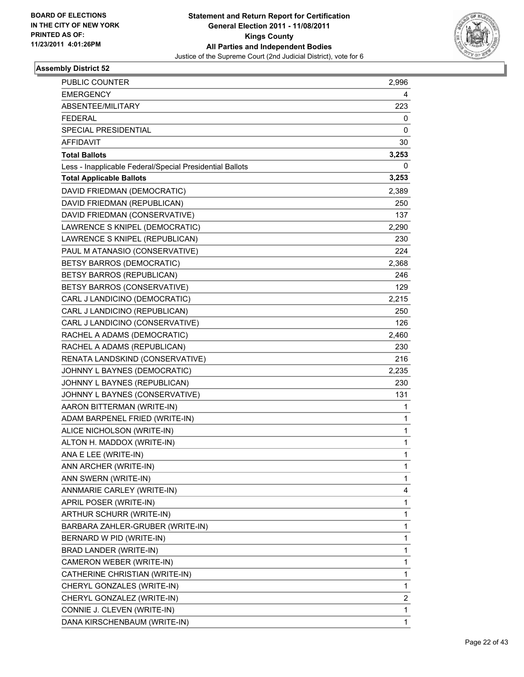

| PUBLIC COUNTER                                           | 2,996       |
|----------------------------------------------------------|-------------|
| <b>EMERGENCY</b>                                         | 4           |
| ABSENTEE/MILITARY                                        | 223         |
| <b>FEDERAL</b>                                           | 0           |
| SPECIAL PRESIDENTIAL                                     | 0           |
| AFFIDAVIT                                                | 30          |
| <b>Total Ballots</b>                                     | 3,253       |
| Less - Inapplicable Federal/Special Presidential Ballots | 0           |
| <b>Total Applicable Ballots</b>                          | 3,253       |
| DAVID FRIEDMAN (DEMOCRATIC)                              | 2,389       |
| DAVID FRIEDMAN (REPUBLICAN)                              | 250         |
| DAVID FRIEDMAN (CONSERVATIVE)                            | 137         |
| LAWRENCE S KNIPEL (DEMOCRATIC)                           | 2,290       |
| LAWRENCE S KNIPEL (REPUBLICAN)                           | 230         |
| PAUL M ATANASIO (CONSERVATIVE)                           | 224         |
| <b>BETSY BARROS (DEMOCRATIC)</b>                         | 2,368       |
| BETSY BARROS (REPUBLICAN)                                | 246         |
| BETSY BARROS (CONSERVATIVE)                              | 129         |
| CARL J LANDICINO (DEMOCRATIC)                            | 2,215       |
| CARL J LANDICINO (REPUBLICAN)                            | 250         |
| CARL J LANDICINO (CONSERVATIVE)                          | 126         |
| RACHEL A ADAMS (DEMOCRATIC)                              | 2,460       |
| RACHEL A ADAMS (REPUBLICAN)                              | 230         |
| RENATA LANDSKIND (CONSERVATIVE)                          | 216         |
| JOHNNY L BAYNES (DEMOCRATIC)                             | 2,235       |
| JOHNNY L BAYNES (REPUBLICAN)                             | 230         |
| JOHNNY L BAYNES (CONSERVATIVE)                           | 131         |
| AARON BITTERMAN (WRITE-IN)                               | 1           |
| ADAM BARPENEL FRIED (WRITE-IN)                           | 1           |
| ALICE NICHOLSON (WRITE-IN)                               | $\mathbf 1$ |
| ALTON H. MADDOX (WRITE-IN)                               | 1           |
| ANA E LEE (WRITE-IN)                                     | 1           |
| ANN ARCHER (WRITE-IN)                                    | 1           |
| ANN SWERN (WRITE-IN)                                     | 1           |
| ANNMARIE CARLEY (WRITE-IN)                               | 4           |
| APRIL POSER (WRITE-IN)                                   | 1           |
| ARTHUR SCHURR (WRITE-IN)                                 | 1           |
| BARBARA ZAHLER-GRUBER (WRITE-IN)                         | 1           |
| BERNARD W PID (WRITE-IN)                                 | 1           |
| BRAD LANDER (WRITE-IN)                                   | 1           |
| CAMERON WEBER (WRITE-IN)                                 | 1           |
| CATHERINE CHRISTIAN (WRITE-IN)                           | 1           |
| CHERYL GONZALES (WRITE-IN)                               | 1           |
| CHERYL GONZALEZ (WRITE-IN)                               | 2           |
| CONNIE J. CLEVEN (WRITE-IN)                              | 1           |
| DANA KIRSCHENBAUM (WRITE-IN)                             | 1           |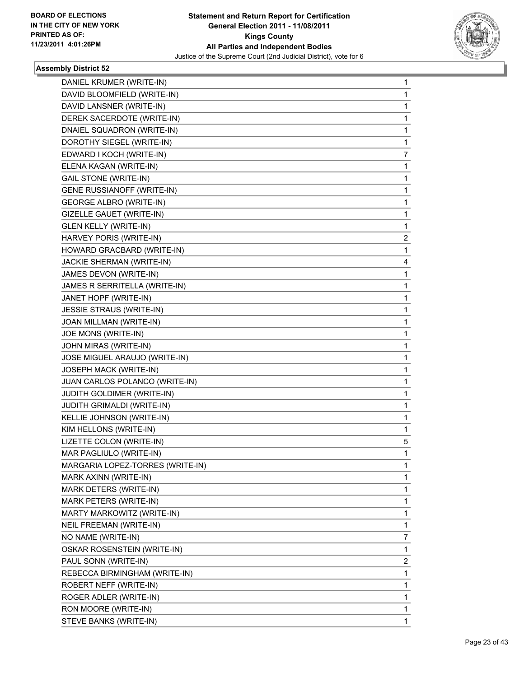

| DANIEL KRUMER (WRITE-IN)         | 1              |
|----------------------------------|----------------|
| DAVID BLOOMFIELD (WRITE-IN)      | 1              |
| DAVID LANSNER (WRITE-IN)         | 1              |
| DEREK SACERDOTE (WRITE-IN)       | 1              |
| DNAIEL SQUADRON (WRITE-IN)       | 1              |
| DOROTHY SIEGEL (WRITE-IN)        | 1              |
| EDWARD I KOCH (WRITE-IN)         | 7              |
| ELENA KAGAN (WRITE-IN)           | 1              |
| <b>GAIL STONE (WRITE-IN)</b>     | 1              |
| GENE RUSSIANOFF (WRITE-IN)       | 1              |
| <b>GEORGE ALBRO (WRITE-IN)</b>   | 1              |
| GIZELLE GAUET (WRITE-IN)         | 1              |
| <b>GLEN KELLY (WRITE-IN)</b>     | 1              |
| HARVEY PORIS (WRITE-IN)          | $\overline{2}$ |
| HOWARD GRACBARD (WRITE-IN)       | 1              |
| JACKIE SHERMAN (WRITE-IN)        | 4              |
| JAMES DEVON (WRITE-IN)           | 1              |
| JAMES R SERRITELLA (WRITE-IN)    | 1              |
| JANET HOPF (WRITE-IN)            | 1              |
| JESSIE STRAUS (WRITE-IN)         | 1              |
| JOAN MILLMAN (WRITE-IN)          | 1              |
| JOE MONS (WRITE-IN)              | 1              |
| JOHN MIRAS (WRITE-IN)            | 1              |
| JOSE MIGUEL ARAUJO (WRITE-IN)    | 1              |
| JOSEPH MACK (WRITE-IN)           | 1              |
| JUAN CARLOS POLANCO (WRITE-IN)   | 1              |
| JUDITH GOLDIMER (WRITE-IN)       | 1              |
| JUDITH GRIMALDI (WRITE-IN)       | 1              |
| KELLIE JOHNSON (WRITE-IN)        | 1              |
| KIM HELLONS (WRITE-IN)           | 1              |
| LIZETTE COLON (WRITE-IN)         | 5              |
| MAR PAGLIULO (WRITE-IN)          | $\mathbf{1}$   |
| MARGARIA LOPEZ-TORRES (WRITE-IN) | 1              |
| MARK AXINN (WRITE-IN)            | $\mathbf{1}$   |
| MARK DETERS (WRITE-IN)           | 1              |
| MARK PETERS (WRITE-IN)           | 1              |
| MARTY MARKOWITZ (WRITE-IN)       | 1              |
| NEIL FREEMAN (WRITE-IN)          | $\mathbf{1}$   |
| NO NAME (WRITE-IN)               | 7              |
| OSKAR ROSENSTEIN (WRITE-IN)      | 1              |
| PAUL SONN (WRITE-IN)             | $\mathbf{2}$   |
| REBECCA BIRMINGHAM (WRITE-IN)    | 1              |
| ROBERT NEFF (WRITE-IN)           | 1              |
| ROGER ADLER (WRITE-IN)           | $\mathbf{1}$   |
| RON MOORE (WRITE-IN)             | 1              |
| STEVE BANKS (WRITE-IN)           | 1              |
|                                  |                |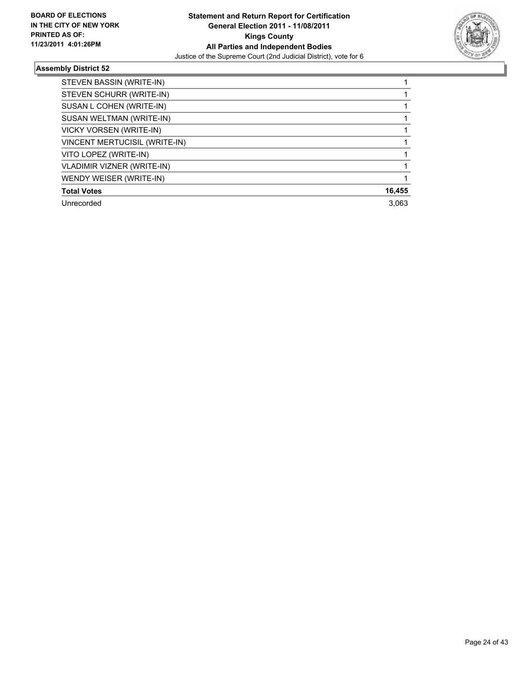

| STEVEN BASSIN (WRITE-IN)          |        |
|-----------------------------------|--------|
| STEVEN SCHURR (WRITE-IN)          |        |
| SUSAN L COHEN (WRITE-IN)          |        |
| SUSAN WELTMAN (WRITE-IN)          |        |
| <b>VICKY VORSEN (WRITE-IN)</b>    |        |
| VINCENT MERTUCISIL (WRITE-IN)     |        |
| VITO LOPEZ (WRITE-IN)             |        |
| <b>VLADIMIR VIZNER (WRITE-IN)</b> |        |
| WENDY WEISER (WRITE-IN)           |        |
| <b>Total Votes</b>                | 16,455 |
| Unrecorded                        | 3.063  |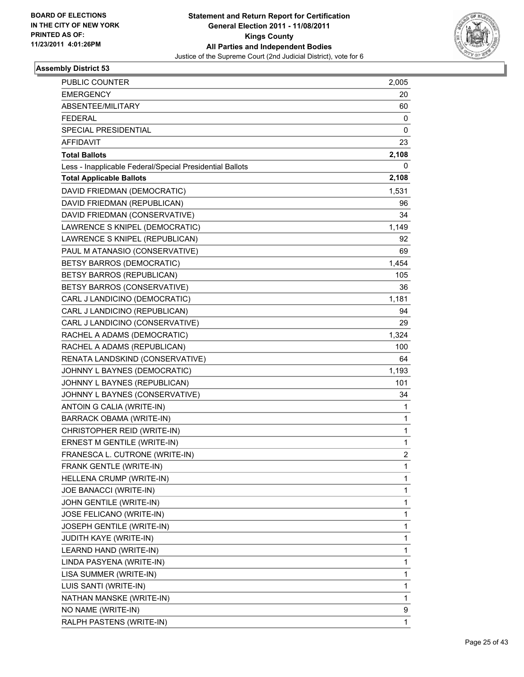

| <b>PUBLIC COUNTER</b>                                    | 2,005 |
|----------------------------------------------------------|-------|
| <b>EMERGENCY</b>                                         | 20    |
| ABSENTEE/MILITARY                                        | 60    |
| <b>FEDERAL</b>                                           | 0     |
| <b>SPECIAL PRESIDENTIAL</b>                              | 0     |
| AFFIDAVIT                                                | 23    |
| <b>Total Ballots</b>                                     | 2,108 |
| Less - Inapplicable Federal/Special Presidential Ballots | 0     |
| <b>Total Applicable Ballots</b>                          | 2,108 |
| DAVID FRIEDMAN (DEMOCRATIC)                              | 1,531 |
| DAVID FRIEDMAN (REPUBLICAN)                              | 96    |
| DAVID FRIEDMAN (CONSERVATIVE)                            | 34    |
| LAWRENCE S KNIPEL (DEMOCRATIC)                           | 1,149 |
| LAWRENCE S KNIPEL (REPUBLICAN)                           | 92    |
| PAUL M ATANASIO (CONSERVATIVE)                           | 69    |
| <b>BETSY BARROS (DEMOCRATIC)</b>                         | 1,454 |
| BETSY BARROS (REPUBLICAN)                                | 105   |
| BETSY BARROS (CONSERVATIVE)                              | 36    |
| CARL J LANDICINO (DEMOCRATIC)                            | 1,181 |
| CARL J LANDICINO (REPUBLICAN)                            | 94    |
| CARL J LANDICINO (CONSERVATIVE)                          | 29    |
| RACHEL A ADAMS (DEMOCRATIC)                              | 1,324 |
| RACHEL A ADAMS (REPUBLICAN)                              | 100   |
| RENATA LANDSKIND (CONSERVATIVE)                          | 64    |
| JOHNNY L BAYNES (DEMOCRATIC)                             | 1,193 |
| JOHNNY L BAYNES (REPUBLICAN)                             | 101   |
| JOHNNY L BAYNES (CONSERVATIVE)                           | 34    |
| ANTOIN G CALIA (WRITE-IN)                                | 1     |
| BARRACK OBAMA (WRITE-IN)                                 | 1     |
| CHRISTOPHER REID (WRITE-IN)                              | 1     |
| ERNEST M GENTILE (WRITE-IN)                              | 1     |
| FRANESCA L. CUTRONE (WRITE-IN)                           | 2     |
| FRANK GENTLE (WRITE-IN)                                  | 1     |
| HELLENA CRUMP (WRITE-IN)                                 | 1     |
| JOE BANACCI (WRITE-IN)                                   | 1     |
| JOHN GENTILE (WRITE-IN)                                  | 1     |
| JOSE FELICANO (WRITE-IN)                                 | 1     |
| JOSEPH GENTILE (WRITE-IN)                                | 1     |
| JUDITH KAYE (WRITE-IN)                                   | 1     |
| LEARND HAND (WRITE-IN)                                   | 1     |
| LINDA PASYENA (WRITE-IN)                                 | 1     |
| LISA SUMMER (WRITE-IN)                                   | 1     |
| LUIS SANTI (WRITE-IN)                                    | 1     |
| NATHAN MANSKE (WRITE-IN)                                 | 1     |
| NO NAME (WRITE-IN)                                       | 9     |
| RALPH PASTENS (WRITE-IN)                                 | 1     |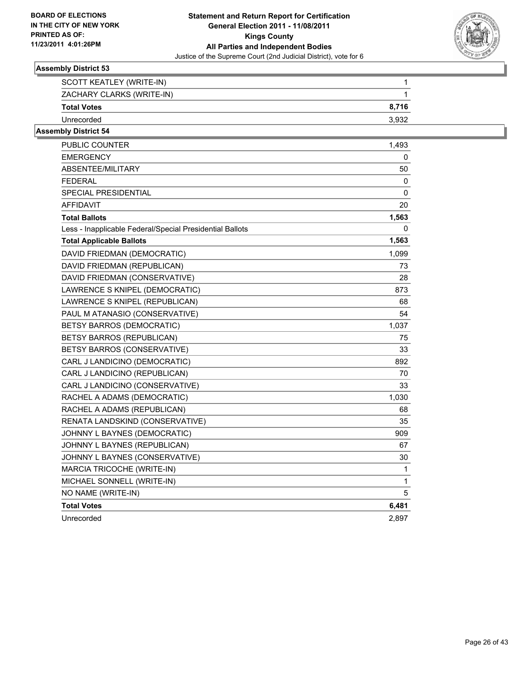

| SCOTT KEATLEY (WRITE-IN)  |        |
|---------------------------|--------|
| ZACHARY CLARKS (WRITE-IN) |        |
| <b>Total Votes</b>        | 8.716  |
| Unrecorded                | -3.932 |

| PUBLIC COUNTER                                           | 1,493 |
|----------------------------------------------------------|-------|
| <b>EMERGENCY</b>                                         | 0     |
| ABSENTEE/MILITARY                                        | 50    |
| FEDERAL                                                  | 0     |
| <b>SPECIAL PRESIDENTIAL</b>                              | 0     |
| AFFIDAVIT                                                | 20    |
| <b>Total Ballots</b>                                     | 1,563 |
| Less - Inapplicable Federal/Special Presidential Ballots | 0     |
| <b>Total Applicable Ballots</b>                          | 1,563 |
| DAVID FRIEDMAN (DEMOCRATIC)                              | 1,099 |
| DAVID FRIEDMAN (REPUBLICAN)                              | 73    |
| DAVID FRIEDMAN (CONSERVATIVE)                            | 28    |
| LAWRENCE S KNIPEL (DEMOCRATIC)                           | 873   |
| LAWRENCE S KNIPEL (REPUBLICAN)                           | 68    |
| PAUL M ATANASIO (CONSERVATIVE)                           | 54    |
| <b>BETSY BARROS (DEMOCRATIC)</b>                         | 1,037 |
| BETSY BARROS (REPUBLICAN)                                | 75    |
| BETSY BARROS (CONSERVATIVE)                              | 33    |
| CARL J LANDICINO (DEMOCRATIC)                            | 892   |
| CARL J LANDICINO (REPUBLICAN)                            | 70    |
| CARL J LANDICINO (CONSERVATIVE)                          | 33    |
| RACHEL A ADAMS (DEMOCRATIC)                              | 1,030 |
| RACHEL A ADAMS (REPUBLICAN)                              | 68    |
| RENATA LANDSKIND (CONSERVATIVE)                          | 35    |
| JOHNNY L BAYNES (DEMOCRATIC)                             | 909   |
| JOHNNY L BAYNES (REPUBLICAN)                             | 67    |
| JOHNNY L BAYNES (CONSERVATIVE)                           | 30    |
| MARCIA TRICOCHE (WRITE-IN)                               | 1     |
| MICHAEL SONNELL (WRITE-IN)                               | 1     |
| NO NAME (WRITE-IN)                                       | 5     |
| <b>Total Votes</b>                                       | 6,481 |
| Unrecorded                                               | 2.897 |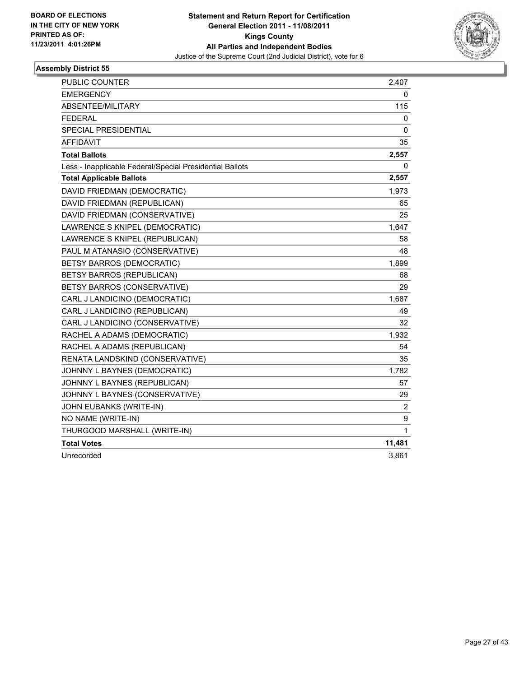

| <b>PUBLIC COUNTER</b>                                    | 2,407  |
|----------------------------------------------------------|--------|
| <b>EMERGENCY</b>                                         | 0      |
| ABSENTEE/MILITARY                                        | 115    |
| <b>FEDERAL</b>                                           | 0      |
| SPECIAL PRESIDENTIAL                                     | 0      |
| <b>AFFIDAVIT</b>                                         | 35     |
| <b>Total Ballots</b>                                     | 2,557  |
| Less - Inapplicable Federal/Special Presidential Ballots | 0      |
| <b>Total Applicable Ballots</b>                          | 2,557  |
| DAVID FRIEDMAN (DEMOCRATIC)                              | 1,973  |
| DAVID FRIEDMAN (REPUBLICAN)                              | 65     |
| DAVID FRIEDMAN (CONSERVATIVE)                            | 25     |
| LAWRENCE S KNIPEL (DEMOCRATIC)                           | 1,647  |
| LAWRENCE S KNIPEL (REPUBLICAN)                           | 58     |
| PAUL M ATANASIO (CONSERVATIVE)                           | 48     |
| BETSY BARROS (DEMOCRATIC)                                | 1,899  |
| BETSY BARROS (REPUBLICAN)                                | 68     |
| BETSY BARROS (CONSERVATIVE)                              | 29     |
| CARL J LANDICINO (DEMOCRATIC)                            | 1,687  |
| CARL J LANDICINO (REPUBLICAN)                            | 49     |
| CARL J LANDICINO (CONSERVATIVE)                          | 32     |
| RACHEL A ADAMS (DEMOCRATIC)                              | 1,932  |
| RACHEL A ADAMS (REPUBLICAN)                              | 54     |
| RENATA LANDSKIND (CONSERVATIVE)                          | 35     |
| JOHNNY L BAYNES (DEMOCRATIC)                             | 1,782  |
| JOHNNY L BAYNES (REPUBLICAN)                             | 57     |
| JOHNNY L BAYNES (CONSERVATIVE)                           | 29     |
| JOHN EUBANKS (WRITE-IN)                                  | 2      |
| NO NAME (WRITE-IN)                                       | 9      |
| THURGOOD MARSHALL (WRITE-IN)                             | 1      |
| <b>Total Votes</b>                                       | 11,481 |
| Unrecorded                                               | 3,861  |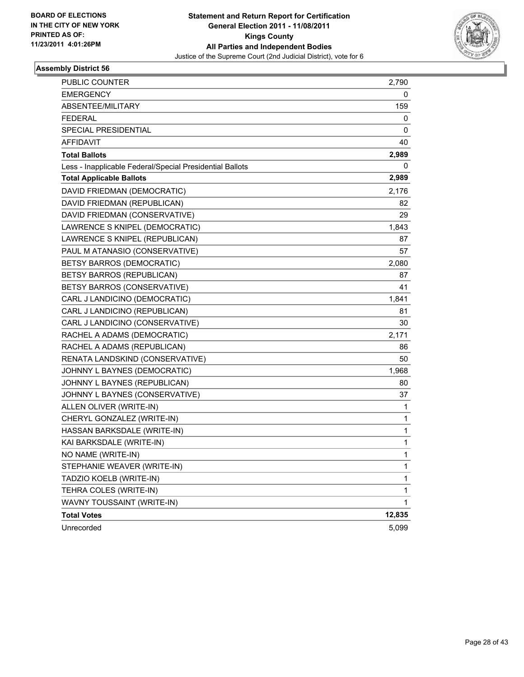

| PUBLIC COUNTER                                           | 2,790  |
|----------------------------------------------------------|--------|
| <b>EMERGENCY</b>                                         | 0      |
| ABSENTEE/MILITARY                                        | 159    |
| <b>FEDERAL</b>                                           | 0      |
| SPECIAL PRESIDENTIAL                                     | 0      |
| AFFIDAVIT                                                | 40     |
| <b>Total Ballots</b>                                     | 2,989  |
| Less - Inapplicable Federal/Special Presidential Ballots | 0      |
| <b>Total Applicable Ballots</b>                          | 2,989  |
| DAVID FRIEDMAN (DEMOCRATIC)                              | 2,176  |
| DAVID FRIEDMAN (REPUBLICAN)                              | 82     |
| DAVID FRIEDMAN (CONSERVATIVE)                            | 29     |
| LAWRENCE S KNIPEL (DEMOCRATIC)                           | 1,843  |
| LAWRENCE S KNIPEL (REPUBLICAN)                           | 87     |
| PAUL M ATANASIO (CONSERVATIVE)                           | 57     |
| <b>BETSY BARROS (DEMOCRATIC)</b>                         | 2,080  |
| BETSY BARROS (REPUBLICAN)                                | 87     |
| BETSY BARROS (CONSERVATIVE)                              | 41     |
| CARL J LANDICINO (DEMOCRATIC)                            | 1,841  |
| CARL J LANDICINO (REPUBLICAN)                            | 81     |
| CARL J LANDICINO (CONSERVATIVE)                          | 30     |
| RACHEL A ADAMS (DEMOCRATIC)                              | 2,171  |
| RACHEL A ADAMS (REPUBLICAN)                              | 86     |
| RENATA LANDSKIND (CONSERVATIVE)                          | 50     |
| JOHNNY L BAYNES (DEMOCRATIC)                             | 1,968  |
| JOHNNY L BAYNES (REPUBLICAN)                             | 80     |
| JOHNNY L BAYNES (CONSERVATIVE)                           | 37     |
| ALLEN OLIVER (WRITE-IN)                                  | 1      |
| CHERYL GONZALEZ (WRITE-IN)                               | 1      |
| HASSAN BARKSDALE (WRITE-IN)                              | 1      |
| KAI BARKSDALE (WRITE-IN)                                 | 1      |
| NO NAME (WRITE-IN)                                       | 1      |
| STEPHANIE WEAVER (WRITE-IN)                              | 1      |
| TADZIO KOELB (WRITE-IN)                                  | 1      |
| TEHRA COLES (WRITE-IN)                                   | 1      |
| WAVNY TOUSSAINT (WRITE-IN)                               | 1      |
| <b>Total Votes</b>                                       | 12,835 |
| Unrecorded                                               | 5,099  |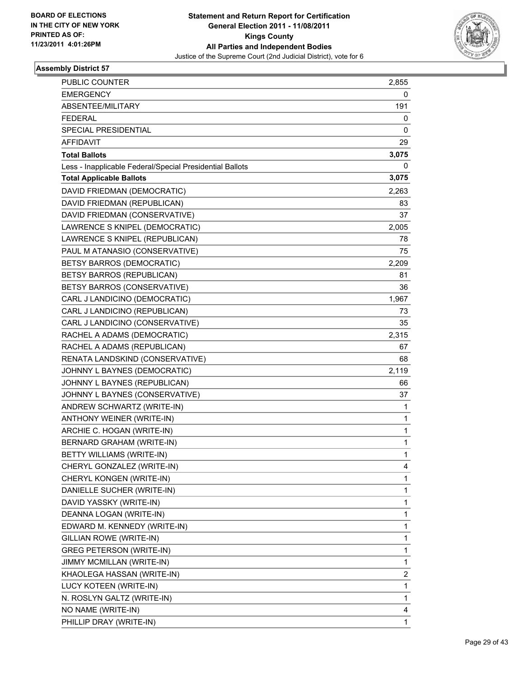

| 2,855<br><b>EMERGENCY</b><br>0<br>ABSENTEE/MILITARY<br>191<br><b>FEDERAL</b><br>0<br>SPECIAL PRESIDENTIAL<br>0<br>AFFIDAVIT<br>29<br>3,075<br><b>Total Ballots</b><br>Less - Inapplicable Federal/Special Presidential Ballots<br>0<br><b>Total Applicable Ballots</b><br>3,075<br>DAVID FRIEDMAN (DEMOCRATIC)<br>2,263<br>DAVID FRIEDMAN (REPUBLICAN)<br>83<br>DAVID FRIEDMAN (CONSERVATIVE)<br>37<br>LAWRENCE S KNIPEL (DEMOCRATIC)<br>2,005<br>LAWRENCE S KNIPEL (REPUBLICAN)<br>78<br>PAUL M ATANASIO (CONSERVATIVE)<br>75<br><b>BETSY BARROS (DEMOCRATIC)</b><br>2,209<br><b>BETSY BARROS (REPUBLICAN)</b><br>81<br>BETSY BARROS (CONSERVATIVE)<br>36<br>CARL J LANDICINO (DEMOCRATIC)<br>1,967<br>CARL J LANDICINO (REPUBLICAN)<br>73<br>CARL J LANDICINO (CONSERVATIVE)<br>35<br>RACHEL A ADAMS (DEMOCRATIC)<br>2,315<br>RACHEL A ADAMS (REPUBLICAN)<br>67<br>RENATA LANDSKIND (CONSERVATIVE)<br>68<br>JOHNNY L BAYNES (DEMOCRATIC)<br>2,119<br>JOHNNY L BAYNES (REPUBLICAN)<br>66<br>JOHNNY L BAYNES (CONSERVATIVE)<br>37<br>ANDREW SCHWARTZ (WRITE-IN)<br>1<br>ANTHONY WEINER (WRITE-IN)<br>1<br>ARCHIE C. HOGAN (WRITE-IN)<br>1<br>BERNARD GRAHAM (WRITE-IN)<br>1<br>1<br>BETTY WILLIAMS (WRITE-IN)<br>CHERYL GONZALEZ (WRITE-IN)<br>4<br>CHERYL KONGEN (WRITE-IN)<br>1<br>1<br>DANIELLE SUCHER (WRITE-IN)<br>DAVID YASSKY (WRITE-IN)<br>1<br>DEANNA LOGAN (WRITE-IN)<br>1 |
|--------------------------------------------------------------------------------------------------------------------------------------------------------------------------------------------------------------------------------------------------------------------------------------------------------------------------------------------------------------------------------------------------------------------------------------------------------------------------------------------------------------------------------------------------------------------------------------------------------------------------------------------------------------------------------------------------------------------------------------------------------------------------------------------------------------------------------------------------------------------------------------------------------------------------------------------------------------------------------------------------------------------------------------------------------------------------------------------------------------------------------------------------------------------------------------------------------------------------------------------------------------------------------------------------------------------------------------------------------------------------------------|
|                                                                                                                                                                                                                                                                                                                                                                                                                                                                                                                                                                                                                                                                                                                                                                                                                                                                                                                                                                                                                                                                                                                                                                                                                                                                                                                                                                                      |
|                                                                                                                                                                                                                                                                                                                                                                                                                                                                                                                                                                                                                                                                                                                                                                                                                                                                                                                                                                                                                                                                                                                                                                                                                                                                                                                                                                                      |
|                                                                                                                                                                                                                                                                                                                                                                                                                                                                                                                                                                                                                                                                                                                                                                                                                                                                                                                                                                                                                                                                                                                                                                                                                                                                                                                                                                                      |
|                                                                                                                                                                                                                                                                                                                                                                                                                                                                                                                                                                                                                                                                                                                                                                                                                                                                                                                                                                                                                                                                                                                                                                                                                                                                                                                                                                                      |
|                                                                                                                                                                                                                                                                                                                                                                                                                                                                                                                                                                                                                                                                                                                                                                                                                                                                                                                                                                                                                                                                                                                                                                                                                                                                                                                                                                                      |
|                                                                                                                                                                                                                                                                                                                                                                                                                                                                                                                                                                                                                                                                                                                                                                                                                                                                                                                                                                                                                                                                                                                                                                                                                                                                                                                                                                                      |
|                                                                                                                                                                                                                                                                                                                                                                                                                                                                                                                                                                                                                                                                                                                                                                                                                                                                                                                                                                                                                                                                                                                                                                                                                                                                                                                                                                                      |
|                                                                                                                                                                                                                                                                                                                                                                                                                                                                                                                                                                                                                                                                                                                                                                                                                                                                                                                                                                                                                                                                                                                                                                                                                                                                                                                                                                                      |
|                                                                                                                                                                                                                                                                                                                                                                                                                                                                                                                                                                                                                                                                                                                                                                                                                                                                                                                                                                                                                                                                                                                                                                                                                                                                                                                                                                                      |
|                                                                                                                                                                                                                                                                                                                                                                                                                                                                                                                                                                                                                                                                                                                                                                                                                                                                                                                                                                                                                                                                                                                                                                                                                                                                                                                                                                                      |
|                                                                                                                                                                                                                                                                                                                                                                                                                                                                                                                                                                                                                                                                                                                                                                                                                                                                                                                                                                                                                                                                                                                                                                                                                                                                                                                                                                                      |
|                                                                                                                                                                                                                                                                                                                                                                                                                                                                                                                                                                                                                                                                                                                                                                                                                                                                                                                                                                                                                                                                                                                                                                                                                                                                                                                                                                                      |
|                                                                                                                                                                                                                                                                                                                                                                                                                                                                                                                                                                                                                                                                                                                                                                                                                                                                                                                                                                                                                                                                                                                                                                                                                                                                                                                                                                                      |
|                                                                                                                                                                                                                                                                                                                                                                                                                                                                                                                                                                                                                                                                                                                                                                                                                                                                                                                                                                                                                                                                                                                                                                                                                                                                                                                                                                                      |
|                                                                                                                                                                                                                                                                                                                                                                                                                                                                                                                                                                                                                                                                                                                                                                                                                                                                                                                                                                                                                                                                                                                                                                                                                                                                                                                                                                                      |
|                                                                                                                                                                                                                                                                                                                                                                                                                                                                                                                                                                                                                                                                                                                                                                                                                                                                                                                                                                                                                                                                                                                                                                                                                                                                                                                                                                                      |
|                                                                                                                                                                                                                                                                                                                                                                                                                                                                                                                                                                                                                                                                                                                                                                                                                                                                                                                                                                                                                                                                                                                                                                                                                                                                                                                                                                                      |
|                                                                                                                                                                                                                                                                                                                                                                                                                                                                                                                                                                                                                                                                                                                                                                                                                                                                                                                                                                                                                                                                                                                                                                                                                                                                                                                                                                                      |
|                                                                                                                                                                                                                                                                                                                                                                                                                                                                                                                                                                                                                                                                                                                                                                                                                                                                                                                                                                                                                                                                                                                                                                                                                                                                                                                                                                                      |
|                                                                                                                                                                                                                                                                                                                                                                                                                                                                                                                                                                                                                                                                                                                                                                                                                                                                                                                                                                                                                                                                                                                                                                                                                                                                                                                                                                                      |
|                                                                                                                                                                                                                                                                                                                                                                                                                                                                                                                                                                                                                                                                                                                                                                                                                                                                                                                                                                                                                                                                                                                                                                                                                                                                                                                                                                                      |
|                                                                                                                                                                                                                                                                                                                                                                                                                                                                                                                                                                                                                                                                                                                                                                                                                                                                                                                                                                                                                                                                                                                                                                                                                                                                                                                                                                                      |
|                                                                                                                                                                                                                                                                                                                                                                                                                                                                                                                                                                                                                                                                                                                                                                                                                                                                                                                                                                                                                                                                                                                                                                                                                                                                                                                                                                                      |
|                                                                                                                                                                                                                                                                                                                                                                                                                                                                                                                                                                                                                                                                                                                                                                                                                                                                                                                                                                                                                                                                                                                                                                                                                                                                                                                                                                                      |
|                                                                                                                                                                                                                                                                                                                                                                                                                                                                                                                                                                                                                                                                                                                                                                                                                                                                                                                                                                                                                                                                                                                                                                                                                                                                                                                                                                                      |
|                                                                                                                                                                                                                                                                                                                                                                                                                                                                                                                                                                                                                                                                                                                                                                                                                                                                                                                                                                                                                                                                                                                                                                                                                                                                                                                                                                                      |
|                                                                                                                                                                                                                                                                                                                                                                                                                                                                                                                                                                                                                                                                                                                                                                                                                                                                                                                                                                                                                                                                                                                                                                                                                                                                                                                                                                                      |
|                                                                                                                                                                                                                                                                                                                                                                                                                                                                                                                                                                                                                                                                                                                                                                                                                                                                                                                                                                                                                                                                                                                                                                                                                                                                                                                                                                                      |
|                                                                                                                                                                                                                                                                                                                                                                                                                                                                                                                                                                                                                                                                                                                                                                                                                                                                                                                                                                                                                                                                                                                                                                                                                                                                                                                                                                                      |
|                                                                                                                                                                                                                                                                                                                                                                                                                                                                                                                                                                                                                                                                                                                                                                                                                                                                                                                                                                                                                                                                                                                                                                                                                                                                                                                                                                                      |
|                                                                                                                                                                                                                                                                                                                                                                                                                                                                                                                                                                                                                                                                                                                                                                                                                                                                                                                                                                                                                                                                                                                                                                                                                                                                                                                                                                                      |
|                                                                                                                                                                                                                                                                                                                                                                                                                                                                                                                                                                                                                                                                                                                                                                                                                                                                                                                                                                                                                                                                                                                                                                                                                                                                                                                                                                                      |
|                                                                                                                                                                                                                                                                                                                                                                                                                                                                                                                                                                                                                                                                                                                                                                                                                                                                                                                                                                                                                                                                                                                                                                                                                                                                                                                                                                                      |
|                                                                                                                                                                                                                                                                                                                                                                                                                                                                                                                                                                                                                                                                                                                                                                                                                                                                                                                                                                                                                                                                                                                                                                                                                                                                                                                                                                                      |
|                                                                                                                                                                                                                                                                                                                                                                                                                                                                                                                                                                                                                                                                                                                                                                                                                                                                                                                                                                                                                                                                                                                                                                                                                                                                                                                                                                                      |
|                                                                                                                                                                                                                                                                                                                                                                                                                                                                                                                                                                                                                                                                                                                                                                                                                                                                                                                                                                                                                                                                                                                                                                                                                                                                                                                                                                                      |
| EDWARD M. KENNEDY (WRITE-IN)<br>1                                                                                                                                                                                                                                                                                                                                                                                                                                                                                                                                                                                                                                                                                                                                                                                                                                                                                                                                                                                                                                                                                                                                                                                                                                                                                                                                                    |
| <b>GILLIAN ROWE (WRITE-IN)</b><br>1                                                                                                                                                                                                                                                                                                                                                                                                                                                                                                                                                                                                                                                                                                                                                                                                                                                                                                                                                                                                                                                                                                                                                                                                                                                                                                                                                  |
| 1<br><b>GREG PETERSON (WRITE-IN)</b>                                                                                                                                                                                                                                                                                                                                                                                                                                                                                                                                                                                                                                                                                                                                                                                                                                                                                                                                                                                                                                                                                                                                                                                                                                                                                                                                                 |
| 1<br>JIMMY MCMILLAN (WRITE-IN)                                                                                                                                                                                                                                                                                                                                                                                                                                                                                                                                                                                                                                                                                                                                                                                                                                                                                                                                                                                                                                                                                                                                                                                                                                                                                                                                                       |
| KHAOLEGA HASSAN (WRITE-IN)<br>2                                                                                                                                                                                                                                                                                                                                                                                                                                                                                                                                                                                                                                                                                                                                                                                                                                                                                                                                                                                                                                                                                                                                                                                                                                                                                                                                                      |
| 1<br>LUCY KOTEEN (WRITE-IN)                                                                                                                                                                                                                                                                                                                                                                                                                                                                                                                                                                                                                                                                                                                                                                                                                                                                                                                                                                                                                                                                                                                                                                                                                                                                                                                                                          |
| N. ROSLYN GALTZ (WRITE-IN)<br>1                                                                                                                                                                                                                                                                                                                                                                                                                                                                                                                                                                                                                                                                                                                                                                                                                                                                                                                                                                                                                                                                                                                                                                                                                                                                                                                                                      |
| NO NAME (WRITE-IN)<br>4                                                                                                                                                                                                                                                                                                                                                                                                                                                                                                                                                                                                                                                                                                                                                                                                                                                                                                                                                                                                                                                                                                                                                                                                                                                                                                                                                              |
| PHILLIP DRAY (WRITE-IN)<br>1                                                                                                                                                                                                                                                                                                                                                                                                                                                                                                                                                                                                                                                                                                                                                                                                                                                                                                                                                                                                                                                                                                                                                                                                                                                                                                                                                         |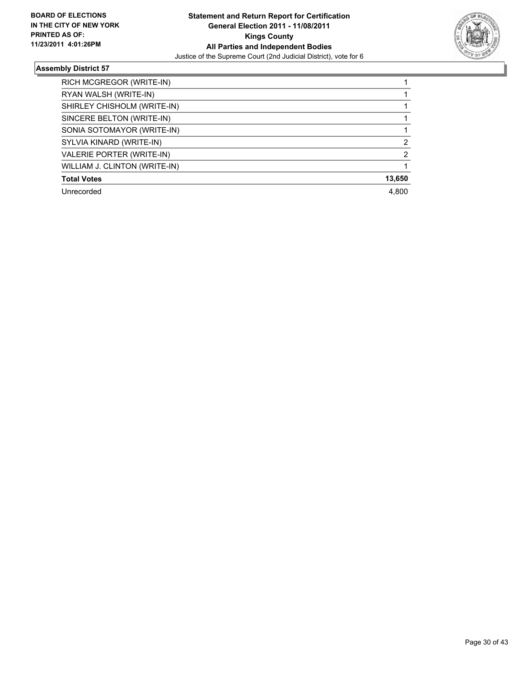

| RICH MCGREGOR (WRITE-IN)      |        |
|-------------------------------|--------|
| RYAN WALSH (WRITE-IN)         |        |
| SHIRLEY CHISHOLM (WRITE-IN)   |        |
| SINCERE BELTON (WRITE-IN)     |        |
| SONIA SOTOMAYOR (WRITE-IN)    |        |
| SYLVIA KINARD (WRITE-IN)      | 2      |
| VALERIE PORTER (WRITE-IN)     | 2      |
| WILLIAM J. CLINTON (WRITE-IN) |        |
| <b>Total Votes</b>            | 13,650 |
| Unrecorded                    | 4.800  |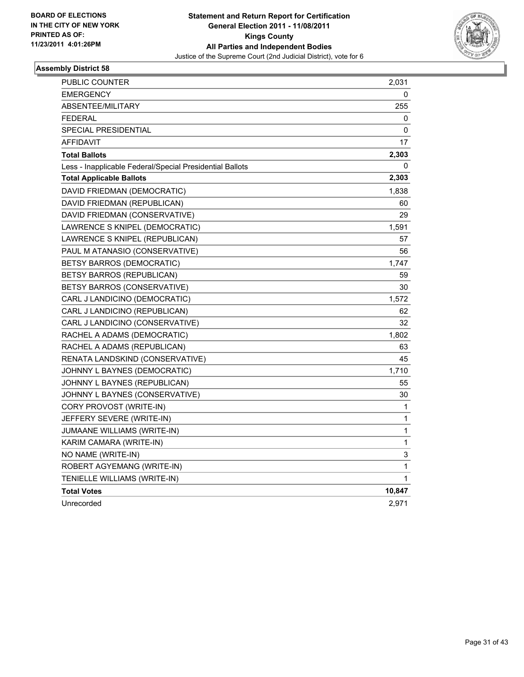

| <b>PUBLIC COUNTER</b>                                    | 2,031  |
|----------------------------------------------------------|--------|
| EMERGENCY                                                | 0      |
| <b>ABSENTEE/MILITARY</b>                                 | 255    |
| <b>FEDERAL</b>                                           | 0      |
| SPECIAL PRESIDENTIAL                                     | 0      |
| AFFIDAVIT                                                | 17     |
| <b>Total Ballots</b>                                     | 2,303  |
| Less - Inapplicable Federal/Special Presidential Ballots | 0      |
| <b>Total Applicable Ballots</b>                          | 2,303  |
| DAVID FRIEDMAN (DEMOCRATIC)                              | 1,838  |
| DAVID FRIEDMAN (REPUBLICAN)                              | 60     |
| DAVID FRIEDMAN (CONSERVATIVE)                            | 29     |
| LAWRENCE S KNIPEL (DEMOCRATIC)                           | 1,591  |
| LAWRENCE S KNIPEL (REPUBLICAN)                           | 57     |
| PAUL M ATANASIO (CONSERVATIVE)                           | 56     |
| BETSY BARROS (DEMOCRATIC)                                | 1,747  |
| BETSY BARROS (REPUBLICAN)                                | 59     |
| BETSY BARROS (CONSERVATIVE)                              | 30     |
| CARL J LANDICINO (DEMOCRATIC)                            | 1,572  |
| CARL J LANDICINO (REPUBLICAN)                            | 62     |
| CARL J LANDICINO (CONSERVATIVE)                          | 32     |
| RACHEL A ADAMS (DEMOCRATIC)                              | 1,802  |
| RACHEL A ADAMS (REPUBLICAN)                              | 63     |
| RENATA LANDSKIND (CONSERVATIVE)                          | 45     |
| JOHNNY L BAYNES (DEMOCRATIC)                             | 1,710  |
| JOHNNY L BAYNES (REPUBLICAN)                             | 55     |
| JOHNNY L BAYNES (CONSERVATIVE)                           | 30     |
| CORY PROVOST (WRITE-IN)                                  | 1      |
| JEFFERY SEVERE (WRITE-IN)                                | 1      |
| JUMAANE WILLIAMS (WRITE-IN)                              | 1      |
| KARIM CAMARA (WRITE-IN)                                  | 1      |
| NO NAME (WRITE-IN)                                       | 3      |
| ROBERT AGYEMANG (WRITE-IN)                               | 1      |
| TENIELLE WILLIAMS (WRITE-IN)                             | 1      |
| <b>Total Votes</b>                                       | 10,847 |
| Unrecorded                                               | 2,971  |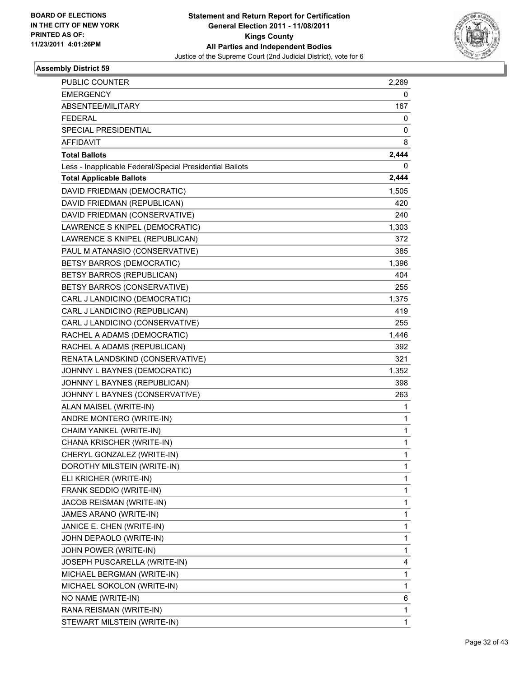

| PUBLIC COUNTER                                           | 2,269 |
|----------------------------------------------------------|-------|
| <b>EMERGENCY</b>                                         | 0     |
| ABSENTEE/MILITARY                                        | 167   |
| <b>FEDERAL</b>                                           | 0     |
| SPECIAL PRESIDENTIAL                                     | 0     |
| AFFIDAVIT                                                | 8     |
| <b>Total Ballots</b>                                     | 2,444 |
| Less - Inapplicable Federal/Special Presidential Ballots | 0     |
| <b>Total Applicable Ballots</b>                          | 2,444 |
| DAVID FRIEDMAN (DEMOCRATIC)                              | 1,505 |
| DAVID FRIEDMAN (REPUBLICAN)                              | 420   |
| DAVID FRIEDMAN (CONSERVATIVE)                            | 240   |
| LAWRENCE S KNIPEL (DEMOCRATIC)                           | 1,303 |
| LAWRENCE S KNIPEL (REPUBLICAN)                           | 372   |
| PAUL M ATANASIO (CONSERVATIVE)                           | 385   |
| BETSY BARROS (DEMOCRATIC)                                | 1,396 |
| BETSY BARROS (REPUBLICAN)                                | 404   |
| BETSY BARROS (CONSERVATIVE)                              | 255   |
| CARL J LANDICINO (DEMOCRATIC)                            | 1,375 |
| CARL J LANDICINO (REPUBLICAN)                            | 419   |
| CARL J LANDICINO (CONSERVATIVE)                          | 255   |
| RACHEL A ADAMS (DEMOCRATIC)                              | 1,446 |
| RACHEL A ADAMS (REPUBLICAN)                              | 392   |
| RENATA LANDSKIND (CONSERVATIVE)                          | 321   |
| JOHNNY L BAYNES (DEMOCRATIC)                             | 1,352 |
| JOHNNY L BAYNES (REPUBLICAN)                             | 398   |
| JOHNNY L BAYNES (CONSERVATIVE)                           | 263   |
| ALAN MAISEL (WRITE-IN)                                   | 1     |
| ANDRE MONTERO (WRITE-IN)                                 | 1     |
| CHAIM YANKEL (WRITE-IN)                                  | 1     |
| CHANA KRISCHER (WRITE-IN)                                | 1     |
| CHERYL GONZALEZ (WRITE-IN)                               | 1     |
| DOROTHY MILSTEIN (WRITE-IN)                              | 1     |
| ELI KRICHER (WRITE-IN)                                   | 1     |
| FRANK SEDDIO (WRITE-IN)                                  | 1     |
| JACOB REISMAN (WRITE-IN)                                 | 1     |
| JAMES ARANO (WRITE-IN)                                   | 1     |
| JANICE E. CHEN (WRITE-IN)                                | 1     |
| JOHN DEPAOLO (WRITE-IN)                                  | 1     |
| JOHN POWER (WRITE-IN)                                    | 1     |
| JOSEPH PUSCARELLA (WRITE-IN)                             | 4     |
| MICHAEL BERGMAN (WRITE-IN)                               | 1     |
| MICHAEL SOKOLON (WRITE-IN)                               | 1     |
| NO NAME (WRITE-IN)                                       | 6     |
| RANA REISMAN (WRITE-IN)                                  | 1     |
| STEWART MILSTEIN (WRITE-IN)                              | 1     |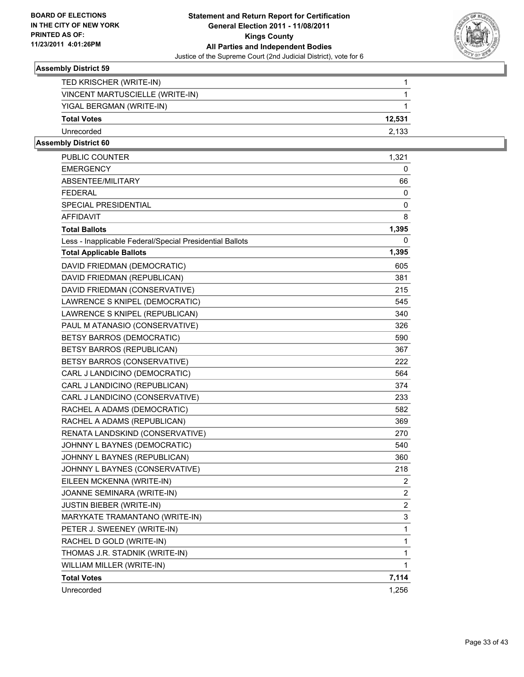

| Unrecorded                      | 2.133  |
|---------------------------------|--------|
| <b>Total Votes</b>              | 12.531 |
| YIGAL BERGMAN (WRITE-IN)        |        |
| VINCENT MARTUSCIELLE (WRITE-IN) |        |
| TED KRISCHER (WRITE-IN)         |        |

| PUBLIC COUNTER                                           | 1,321          |
|----------------------------------------------------------|----------------|
| <b>EMERGENCY</b>                                         | 0              |
| <b>ABSENTEE/MILITARY</b>                                 | 66             |
| <b>FEDERAL</b>                                           | 0              |
| <b>SPECIAL PRESIDENTIAL</b>                              | 0              |
| <b>AFFIDAVIT</b>                                         | 8              |
| <b>Total Ballots</b>                                     | 1,395          |
| Less - Inapplicable Federal/Special Presidential Ballots | 0              |
| <b>Total Applicable Ballots</b>                          | 1,395          |
| DAVID FRIEDMAN (DEMOCRATIC)                              | 605            |
| DAVID FRIEDMAN (REPUBLICAN)                              | 381            |
| DAVID FRIEDMAN (CONSERVATIVE)                            | 215            |
| LAWRENCE S KNIPEL (DEMOCRATIC)                           | 545            |
| LAWRENCE S KNIPEL (REPUBLICAN)                           | 340            |
| PAUL M ATANASIO (CONSERVATIVE)                           | 326            |
| BETSY BARROS (DEMOCRATIC)                                | 590            |
| BETSY BARROS (REPUBLICAN)                                | 367            |
| BETSY BARROS (CONSERVATIVE)                              | 222            |
| CARL J LANDICINO (DEMOCRATIC)                            | 564            |
| CARL J LANDICINO (REPUBLICAN)                            | 374            |
| CARL J LANDICINO (CONSERVATIVE)                          | 233            |
| RACHEL A ADAMS (DEMOCRATIC)                              | 582            |
| RACHEL A ADAMS (REPUBLICAN)                              | 369            |
| RENATA LANDSKIND (CONSERVATIVE)                          | 270            |
| JOHNNY L BAYNES (DEMOCRATIC)                             | 540            |
| JOHNNY L BAYNES (REPUBLICAN)                             | 360            |
| JOHNNY L BAYNES (CONSERVATIVE)                           | 218            |
| EILEEN MCKENNA (WRITE-IN)                                | $\mathbf{2}$   |
| JOANNE SEMINARA (WRITE-IN)                               | 2              |
| <b>JUSTIN BIEBER (WRITE-IN)</b>                          | $\overline{2}$ |
| MARYKATE TRAMANTANO (WRITE-IN)                           | 3              |
| PETER J. SWEENEY (WRITE-IN)                              | 1              |
| RACHEL D GOLD (WRITE-IN)                                 | 1              |
| THOMAS J.R. STADNIK (WRITE-IN)                           | 1              |
| WILLIAM MILLER (WRITE-IN)                                | $\mathbf{1}$   |
| <b>Total Votes</b>                                       | 7,114          |
| Unrecorded                                               | 1,256          |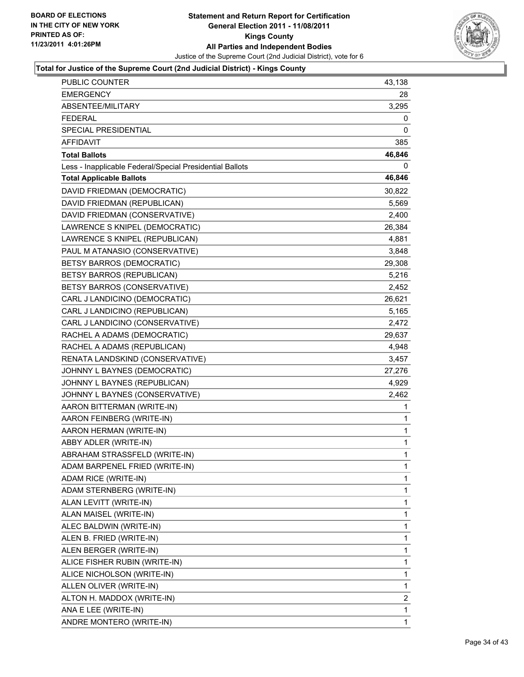

| PUBLIC COUNTER                                           | 43,138         |
|----------------------------------------------------------|----------------|
| <b>EMERGENCY</b>                                         | 28             |
| ABSENTEE/MILITARY                                        | 3,295          |
| <b>FEDERAL</b>                                           | 0              |
| SPECIAL PRESIDENTIAL                                     | 0              |
| AFFIDAVIT                                                | 385            |
| <b>Total Ballots</b>                                     | 46,846         |
| Less - Inapplicable Federal/Special Presidential Ballots | 0              |
| <b>Total Applicable Ballots</b>                          | 46,846         |
| DAVID FRIEDMAN (DEMOCRATIC)                              | 30,822         |
| DAVID FRIEDMAN (REPUBLICAN)                              | 5,569          |
| DAVID FRIEDMAN (CONSERVATIVE)                            | 2,400          |
| LAWRENCE S KNIPEL (DEMOCRATIC)                           | 26,384         |
| LAWRENCE S KNIPEL (REPUBLICAN)                           | 4,881          |
| PAUL M ATANASIO (CONSERVATIVE)                           | 3,848          |
| <b>BETSY BARROS (DEMOCRATIC)</b>                         | 29,308         |
| BETSY BARROS (REPUBLICAN)                                | 5,216          |
| BETSY BARROS (CONSERVATIVE)                              | 2,452          |
| CARL J LANDICINO (DEMOCRATIC)                            | 26,621         |
| CARL J LANDICINO (REPUBLICAN)                            | 5,165          |
| CARL J LANDICINO (CONSERVATIVE)                          | 2,472          |
| RACHEL A ADAMS (DEMOCRATIC)                              | 29,637         |
| RACHEL A ADAMS (REPUBLICAN)                              | 4,948          |
| RENATA LANDSKIND (CONSERVATIVE)                          | 3,457          |
| JOHNNY L BAYNES (DEMOCRATIC)                             | 27,276         |
| JOHNNY L BAYNES (REPUBLICAN)                             | 4,929          |
| JOHNNY L BAYNES (CONSERVATIVE)                           | 2,462          |
| AARON BITTERMAN (WRITE-IN)                               | 1              |
| AARON FEINBERG (WRITE-IN)                                | 1              |
| AARON HERMAN (WRITE-IN)                                  | 1              |
| ABBY ADLER (WRITE-IN)                                    | $\mathbf 1$    |
| ABRAHAM STRASSFELD (WRITE-IN)                            | 1              |
| ADAM BARPENEL FRIED (WRITE-IN)                           | $\mathbf 1$    |
| ADAM RICE (WRITE-IN)                                     | $\mathbf{1}$   |
| ADAM STERNBERG (WRITE-IN)                                | 1              |
| ALAN LEVITT (WRITE-IN)                                   | 1              |
| ALAN MAISEL (WRITE-IN)                                   | 1              |
| ALEC BALDWIN (WRITE-IN)                                  | 1              |
| ALEN B. FRIED (WRITE-IN)                                 | 1              |
| ALEN BERGER (WRITE-IN)                                   | 1              |
| ALICE FISHER RUBIN (WRITE-IN)                            | 1              |
| ALICE NICHOLSON (WRITE-IN)                               | 1              |
| ALLEN OLIVER (WRITE-IN)                                  | 1              |
| ALTON H. MADDOX (WRITE-IN)                               | $\overline{2}$ |
| ANA E LEE (WRITE-IN)                                     | 1              |
| ANDRE MONTERO (WRITE-IN)                                 | 1              |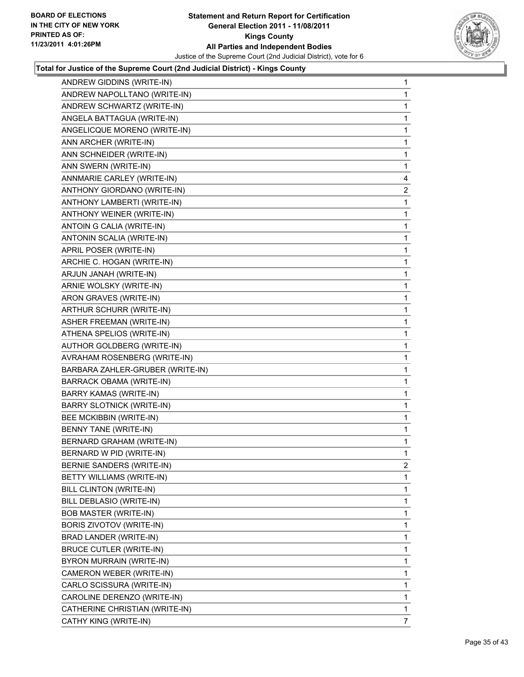

| ANDREW GIDDINS (WRITE-IN)        | 1              |
|----------------------------------|----------------|
| ANDREW NAPOLLTANO (WRITE-IN)     | 1              |
| ANDREW SCHWARTZ (WRITE-IN)       | 1              |
| ANGELA BATTAGUA (WRITE-IN)       | 1              |
| ANGELICQUE MORENO (WRITE-IN)     | 1              |
| ANN ARCHER (WRITE-IN)            | 1              |
| ANN SCHNEIDER (WRITE-IN)         | 1              |
| ANN SWERN (WRITE-IN)             | 1              |
| ANNMARIE CARLEY (WRITE-IN)       | 4              |
| ANTHONY GIORDANO (WRITE-IN)      | $\overline{2}$ |
| ANTHONY LAMBERTI (WRITE-IN)      | 1              |
| ANTHONY WEINER (WRITE-IN)        | 1              |
| ANTOIN G CALIA (WRITE-IN)        | 1              |
| ANTONIN SCALIA (WRITE-IN)        | 1              |
| APRIL POSER (WRITE-IN)           | 1              |
| ARCHIE C. HOGAN (WRITE-IN)       | 1              |
| ARJUN JANAH (WRITE-IN)           | 1              |
| ARNIE WOLSKY (WRITE-IN)          | 1              |
| ARON GRAVES (WRITE-IN)           | 1              |
| ARTHUR SCHURR (WRITE-IN)         | 1              |
| <b>ASHER FREEMAN (WRITE-IN)</b>  | 1              |
| ATHENA SPELIOS (WRITE-IN)        | 1              |
| AUTHOR GOLDBERG (WRITE-IN)       | 1              |
| AVRAHAM ROSENBERG (WRITE-IN)     | 1              |
| BARBARA ZAHLER-GRUBER (WRITE-IN) | 1              |
| BARRACK OBAMA (WRITE-IN)         | 1              |
| <b>BARRY KAMAS (WRITE-IN)</b>    | 1              |
| <b>BARRY SLOTNICK (WRITE-IN)</b> | 1              |
| BEE MCKIBBIN (WRITE-IN)          | 1              |
| BENNY TANE (WRITE-IN)            | 1              |
| BERNARD GRAHAM (WRITE-IN)        | 1              |
| BERNARD W PID (WRITE-IN)         | 1              |
| BERNIE SANDERS (WRITE-IN)        | 2              |
| BETTY WILLIAMS (WRITE-IN)        | 1              |
| BILL CLINTON (WRITE-IN)          | 1              |
| BILL DEBLASIO (WRITE-IN)         | 1              |
| <b>BOB MASTER (WRITE-IN)</b>     | 1              |
| BORIS ZIVOTOV (WRITE-IN)         | 1              |
| BRAD LANDER (WRITE-IN)           | 1              |
| <b>BRUCE CUTLER (WRITE-IN)</b>   | 1              |
| BYRON MURRAIN (WRITE-IN)         | 1              |
| CAMERON WEBER (WRITE-IN)         | 1              |
| CARLO SCISSURA (WRITE-IN)        | 1              |
| CAROLINE DERENZO (WRITE-IN)      | $\mathbf{1}$   |
| CATHERINE CHRISTIAN (WRITE-IN)   | 1              |
| CATHY KING (WRITE-IN)            | 7              |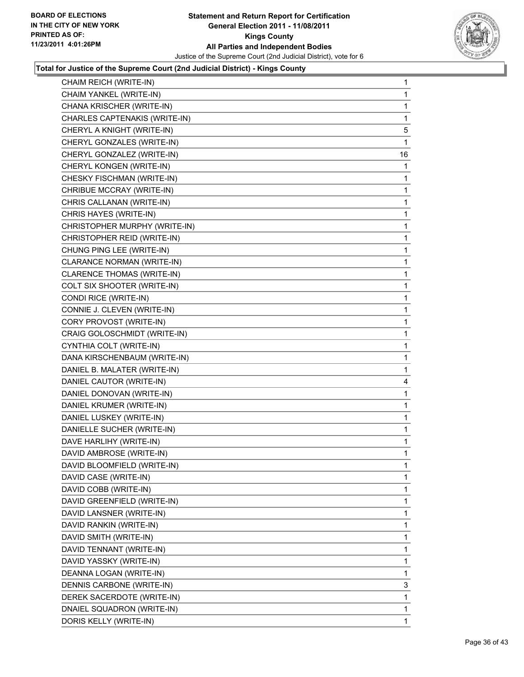

| CHAIM REICH (WRITE-IN)        | $\mathbf 1$  |
|-------------------------------|--------------|
| CHAIM YANKEL (WRITE-IN)       | 1            |
| CHANA KRISCHER (WRITE-IN)     | 1            |
| CHARLES CAPTENAKIS (WRITE-IN) | 1            |
| CHERYL A KNIGHT (WRITE-IN)    | 5            |
| CHERYL GONZALES (WRITE-IN)    | 1            |
| CHERYL GONZALEZ (WRITE-IN)    | 16           |
| CHERYL KONGEN (WRITE-IN)      | 1            |
| CHESKY FISCHMAN (WRITE-IN)    | 1            |
| CHRIBUE MCCRAY (WRITE-IN)     | 1            |
| CHRIS CALLANAN (WRITE-IN)     | 1            |
| CHRIS HAYES (WRITE-IN)        | 1            |
| CHRISTOPHER MURPHY (WRITE-IN) | 1            |
| CHRISTOPHER REID (WRITE-IN)   | 1            |
| CHUNG PING LEE (WRITE-IN)     | 1            |
| CLARANCE NORMAN (WRITE-IN)    | 1            |
| CLARENCE THOMAS (WRITE-IN)    | 1            |
| COLT SIX SHOOTER (WRITE-IN)   | 1            |
| CONDI RICE (WRITE-IN)         | 1            |
| CONNIE J. CLEVEN (WRITE-IN)   | 1            |
| CORY PROVOST (WRITE-IN)       | 1            |
| CRAIG GOLOSCHMIDT (WRITE-IN)  | 1            |
| CYNTHIA COLT (WRITE-IN)       | 1            |
| DANA KIRSCHENBAUM (WRITE-IN)  | 1            |
| DANIEL B. MALATER (WRITE-IN)  | 1            |
| DANIEL CAUTOR (WRITE-IN)      | 4            |
| DANIEL DONOVAN (WRITE-IN)     | 1            |
| DANIEL KRUMER (WRITE-IN)      | 1            |
| DANIEL LUSKEY (WRITE-IN)      | 1            |
| DANIELLE SUCHER (WRITE-IN)    | 1            |
| DAVE HARLIHY (WRITE-IN)       | 1            |
| DAVID AMBROSE (WRITE-IN)      | 1            |
| DAVID BLOOMFIELD (WRITE-IN)   | 1            |
| DAVID CASE (WRITE-IN)         | 1            |
| DAVID COBB (WRITE-IN)         | 1            |
| DAVID GREENFIELD (WRITE-IN)   | 1            |
| DAVID LANSNER (WRITE-IN)      | 1            |
| DAVID RANKIN (WRITE-IN)       | 1            |
| DAVID SMITH (WRITE-IN)        | 1            |
| DAVID TENNANT (WRITE-IN)      | 1            |
| DAVID YASSKY (WRITE-IN)       | 1            |
| DEANNA LOGAN (WRITE-IN)       | 1            |
| DENNIS CARBONE (WRITE-IN)     | 3            |
| DEREK SACERDOTE (WRITE-IN)    | 1            |
| DNAIEL SQUADRON (WRITE-IN)    | 1            |
| DORIS KELLY (WRITE-IN)        | $\mathbf{1}$ |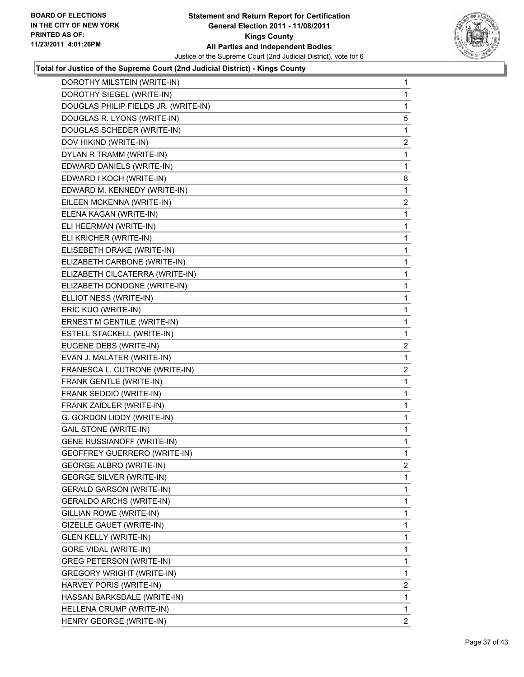

| DOROTHY MILSTEIN (WRITE-IN)          | 1              |
|--------------------------------------|----------------|
| DOROTHY SIEGEL (WRITE-IN)            | 1              |
| DOUGLAS PHILIP FIELDS JR. (WRITE-IN) | 1              |
| DOUGLAS R. LYONS (WRITE-IN)          | 5              |
| DOUGLAS SCHEDER (WRITE-IN)           | 1              |
| DOV HIKIND (WRITE-IN)                | 2              |
| DYLAN R TRAMM (WRITE-IN)             | 1              |
| EDWARD DANIELS (WRITE-IN)            | 1              |
| EDWARD I KOCH (WRITE-IN)             | 8              |
| EDWARD M. KENNEDY (WRITE-IN)         | 1              |
| EILEEN MCKENNA (WRITE-IN)            | $\overline{2}$ |
| ELENA KAGAN (WRITE-IN)               | 1              |
| ELI HEERMAN (WRITE-IN)               | 1              |
| ELI KRICHER (WRITE-IN)               | 1              |
| ELISEBETH DRAKE (WRITE-IN)           | 1              |
| ELIZABETH CARBONE (WRITE-IN)         | 1              |
| ELIZABETH CILCATERRA (WRITE-IN)      | 1              |
| ELIZABETH DONOGNE (WRITE-IN)         | 1              |
| ELLIOT NESS (WRITE-IN)               | 1              |
| ERIC KUO (WRITE-IN)                  | 1              |
| ERNEST M GENTILE (WRITE-IN)          | 1              |
| <b>ESTELL STACKELL (WRITE-IN)</b>    | 1              |
| EUGENE DEBS (WRITE-IN)               | $\overline{2}$ |
| EVAN J. MALATER (WRITE-IN)           | 1              |
| FRANESCA L. CUTRONE (WRITE-IN)       | $\overline{2}$ |
| FRANK GENTLE (WRITE-IN)              | 1              |
| FRANK SEDDIO (WRITE-IN)              | 1              |
| FRANK ZAIDLER (WRITE-IN)             | 1              |
| G. GORDON LIDDY (WRITE-IN)           | 1              |
| <b>GAIL STONE (WRITE-IN)</b>         | 1              |
| <b>GENE RUSSIANOFF (WRITE-IN)</b>    | 1              |
| <b>GEOFFREY GUERRERO (WRITE-IN)</b>  | 1              |
| <b>GEORGE ALBRO (WRITE-IN)</b>       | 2              |
| <b>GEORGE SILVER (WRITE-IN)</b>      | 1              |
| <b>GERALD GARSON (WRITE-IN)</b>      | 1              |
| <b>GERALDO ARCHS (WRITE-IN)</b>      | 1              |
| GILLIAN ROWE (WRITE-IN)              | 1              |
| GIZELLE GAUET (WRITE-IN)             | 1              |
| <b>GLEN KELLY (WRITE-IN)</b>         | 1              |
| GORE VIDAL (WRITE-IN)                | 1              |
| <b>GREG PETERSON (WRITE-IN)</b>      | 1              |
| <b>GREGORY WRIGHT (WRITE-IN)</b>     | 1              |
| HARVEY PORIS (WRITE-IN)              | $\overline{2}$ |
| HASSAN BARKSDALE (WRITE-IN)          | 1              |
| HELLENA CRUMP (WRITE-IN)             | 1              |
| HENRY GEORGE (WRITE-IN)              | $\mathbf{2}$   |
|                                      |                |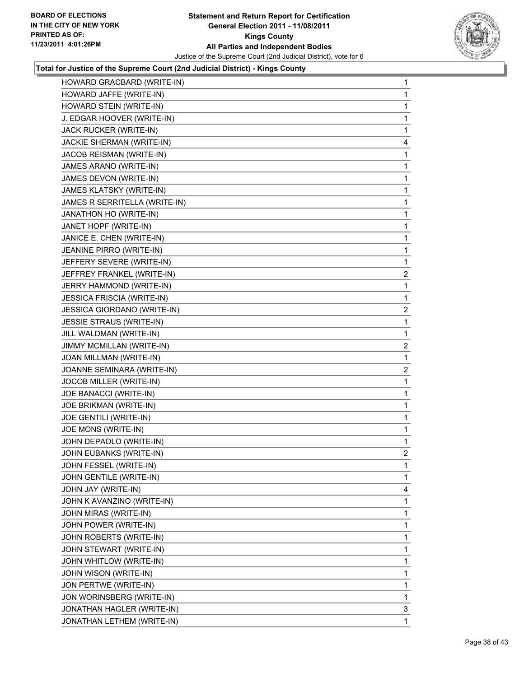

| HOWARD GRACBARD (WRITE-IN)        | 1              |
|-----------------------------------|----------------|
| HOWARD JAFFE (WRITE-IN)           | 1              |
| HOWARD STEIN (WRITE-IN)           | 1              |
| J. EDGAR HOOVER (WRITE-IN)        | 1              |
| JACK RUCKER (WRITE-IN)            | 1              |
| JACKIE SHERMAN (WRITE-IN)         | 4              |
| JACOB REISMAN (WRITE-IN)          | 1              |
| JAMES ARANO (WRITE-IN)            | 1              |
| JAMES DEVON (WRITE-IN)            | 1              |
| JAMES KLATSKY (WRITE-IN)          | 1              |
| JAMES R SERRITELLA (WRITE-IN)     | 1              |
| JANATHON HO (WRITE-IN)            | 1              |
| JANET HOPF (WRITE-IN)             | 1              |
| JANICE E. CHEN (WRITE-IN)         | 1              |
| JEANINE PIRRO (WRITE-IN)          | 1              |
| JEFFERY SEVERE (WRITE-IN)         | 1              |
| JEFFREY FRANKEL (WRITE-IN)        | 2              |
| JERRY HAMMOND (WRITE-IN)          | 1              |
| <b>JESSICA FRISCIA (WRITE-IN)</b> | 1              |
| JESSICA GIORDANO (WRITE-IN)       | $\mathbf{2}$   |
| JESSIE STRAUS (WRITE-IN)          | 1              |
| JILL WALDMAN (WRITE-IN)           | 1              |
| JIMMY MCMILLAN (WRITE-IN)         | 2              |
| JOAN MILLMAN (WRITE-IN)           | 1              |
| JOANNE SEMINARA (WRITE-IN)        | $\mathbf{2}$   |
| JOCOB MILLER (WRITE-IN)           | 1              |
| JOE BANACCI (WRITE-IN)            | 1              |
| JOE BRIKMAN (WRITE-IN)            | 1              |
| JOE GENTILI (WRITE-IN)            | 1              |
| JOE MONS (WRITE-IN)               | 1              |
| JOHN DEPAOLO (WRITE-IN)           | 1              |
| JOHN EUBANKS (WRITE-IN)           | $\overline{2}$ |
| JOHN FESSEL (WRITE-IN)            | 1              |
| JOHN GENTILE (WRITE-IN)           | 1              |
| JOHN JAY (WRITE-IN)               | 4              |
| JOHN K AVANZINO (WRITE-IN)        | 1              |
| JOHN MIRAS (WRITE-IN)             | 1              |
| JOHN POWER (WRITE-IN)             | 1              |
| JOHN ROBERTS (WRITE-IN)           | 1              |
| JOHN STEWART (WRITE-IN)           | 1              |
| JOHN WHITLOW (WRITE-IN)           | 1              |
| JOHN WISON (WRITE-IN)             | 1              |
| JON PERTWE (WRITE-IN)             | 1              |
| JON WORINSBERG (WRITE-IN)         | 1              |
| JONATHAN HAGLER (WRITE-IN)        | 3              |
| JONATHAN LETHEM (WRITE-IN)        | $\mathbf{1}$   |
|                                   |                |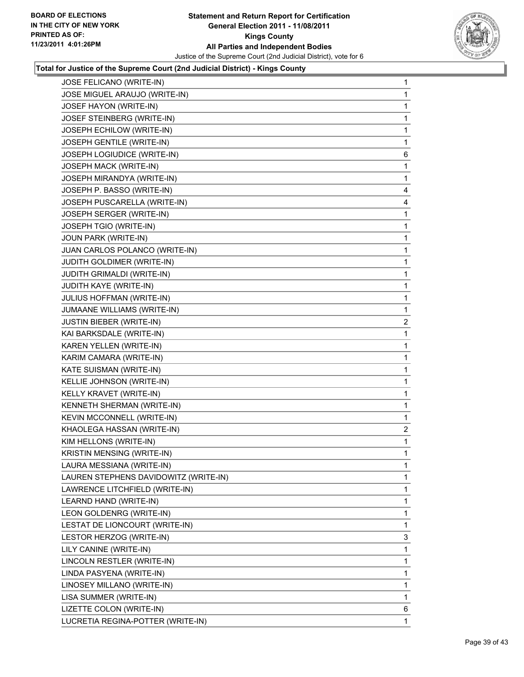

| JOSE FELICANO (WRITE-IN)              | 1              |
|---------------------------------------|----------------|
| JOSE MIGUEL ARAUJO (WRITE-IN)         | 1              |
| JOSEF HAYON (WRITE-IN)                | 1              |
| JOSEF STEINBERG (WRITE-IN)            | 1              |
| JOSEPH ECHILOW (WRITE-IN)             | 1              |
| JOSEPH GENTILE (WRITE-IN)             | 1              |
| JOSEPH LOGIUDICE (WRITE-IN)           | 6              |
| JOSEPH MACK (WRITE-IN)                | 1              |
| JOSEPH MIRANDYA (WRITE-IN)            | 1              |
| JOSEPH P. BASSO (WRITE-IN)            | 4              |
| JOSEPH PUSCARELLA (WRITE-IN)          | 4              |
| JOSEPH SERGER (WRITE-IN)              | 1              |
| JOSEPH TGIO (WRITE-IN)                | 1              |
| JOUN PARK (WRITE-IN)                  | 1              |
| JUAN CARLOS POLANCO (WRITE-IN)        | 1              |
| JUDITH GOLDIMER (WRITE-IN)            | 1              |
| JUDITH GRIMALDI (WRITE-IN)            | 1              |
| JUDITH KAYE (WRITE-IN)                | 1              |
| JULIUS HOFFMAN (WRITE-IN)             | 1              |
| JUMAANE WILLIAMS (WRITE-IN)           | 1              |
| JUSTIN BIEBER (WRITE-IN)              | 2              |
| KAI BARKSDALE (WRITE-IN)              | 1              |
| KAREN YELLEN (WRITE-IN)               | 1              |
| KARIM CAMARA (WRITE-IN)               | 1              |
| KATE SUISMAN (WRITE-IN)               | 1              |
| KELLIE JOHNSON (WRITE-IN)             | 1              |
| KELLY KRAVET (WRITE-IN)               | 1              |
| KENNETH SHERMAN (WRITE-IN)            | 1              |
| KEVIN MCCONNELL (WRITE-IN)            | 1              |
| KHAOLEGA HASSAN (WRITE-IN)            | $\overline{a}$ |
| KIM HELLONS (WRITE-IN)                | 1              |
| KRISTIN MENSING (WRITE-IN)            | 1              |
| LAURA MESSIANA (WRITE-IN)             | 1              |
| LAUREN STEPHENS DAVIDOWITZ (WRITE-IN) | 1              |
| LAWRENCE LITCHFIELD (WRITE-IN)        | 1              |
| LEARND HAND (WRITE-IN)                | 1              |
| LEON GOLDENRG (WRITE-IN)              | 1              |
| LESTAT DE LIONCOURT (WRITE-IN)        | 1              |
| LESTOR HERZOG (WRITE-IN)              | 3              |
| LILY CANINE (WRITE-IN)                | 1              |
| LINCOLN RESTLER (WRITE-IN)            | 1              |
| LINDA PASYENA (WRITE-IN)              | 1              |
| LINOSEY MILLANO (WRITE-IN)            | 1              |
| LISA SUMMER (WRITE-IN)                | 1              |
| LIZETTE COLON (WRITE-IN)              | 6              |
| LUCRETIA REGINA-POTTER (WRITE-IN)     | 1              |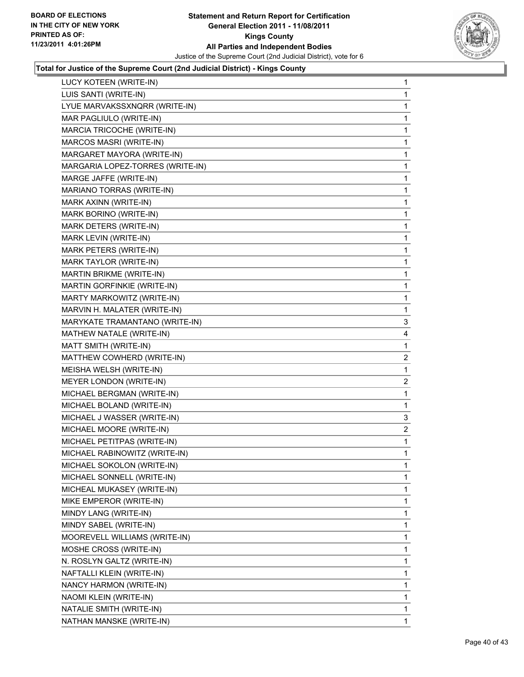

| LUCY KOTEEN (WRITE-IN)           | 1 |
|----------------------------------|---|
| LUIS SANTI (WRITE-IN)            | 1 |
| LYUE MARVAKSSXNQRR (WRITE-IN)    | 1 |
| MAR PAGLIULO (WRITE-IN)          | 1 |
| MARCIA TRICOCHE (WRITE-IN)       | 1 |
| MARCOS MASRI (WRITE-IN)          | 1 |
| MARGARET MAYORA (WRITE-IN)       | 1 |
| MARGARIA LOPEZ-TORRES (WRITE-IN) | 1 |
| MARGE JAFFE (WRITE-IN)           | 1 |
| MARIANO TORRAS (WRITE-IN)        | 1 |
| MARK AXINN (WRITE-IN)            | 1 |
| MARK BORINO (WRITE-IN)           | 1 |
| MARK DETERS (WRITE-IN)           | 1 |
| MARK LEVIN (WRITE-IN)            | 1 |
| MARK PETERS (WRITE-IN)           | 1 |
| MARK TAYLOR (WRITE-IN)           | 1 |
| MARTIN BRIKME (WRITE-IN)         | 1 |
| MARTIN GORFINKIE (WRITE-IN)      | 1 |
| MARTY MARKOWITZ (WRITE-IN)       | 1 |
| MARVIN H. MALATER (WRITE-IN)     | 1 |
| MARYKATE TRAMANTANO (WRITE-IN)   | 3 |
| MATHEW NATALE (WRITE-IN)         | 4 |
| MATT SMITH (WRITE-IN)            | 1 |
| MATTHEW COWHERD (WRITE-IN)       | 2 |
| MEISHA WELSH (WRITE-IN)          | 1 |
| MEYER LONDON (WRITE-IN)          | 2 |
| MICHAEL BERGMAN (WRITE-IN)       | 1 |
| MICHAEL BOLAND (WRITE-IN)        | 1 |
| MICHAEL J WASSER (WRITE-IN)      | 3 |
| MICHAEL MOORE (WRITE-IN)         | 2 |
| MICHAEL PETITPAS (WRITE-IN)      | 1 |
| MICHAEL RABINOWITZ (WRITE-IN)    | 1 |
| MICHAEL SOKOLON (WRITE-IN)       | 1 |
| MICHAEL SONNELL (WRITE-IN)       | 1 |
| MICHEAL MUKASEY (WRITE-IN)       | 1 |
| MIKE EMPEROR (WRITE-IN)          | 1 |
| MINDY LANG (WRITE-IN)            | 1 |
| MINDY SABEL (WRITE-IN)           | 1 |
| MOOREVELL WILLIAMS (WRITE-IN)    | 1 |
| MOSHE CROSS (WRITE-IN)           | 1 |
| N. ROSLYN GALTZ (WRITE-IN)       | 1 |
| NAFTALLI KLEIN (WRITE-IN)        | 1 |
| NANCY HARMON (WRITE-IN)          | 1 |
| NAOMI KLEIN (WRITE-IN)           | 1 |
| NATALIE SMITH (WRITE-IN)         | 1 |
|                                  |   |
| NATHAN MANSKE (WRITE-IN)         | 1 |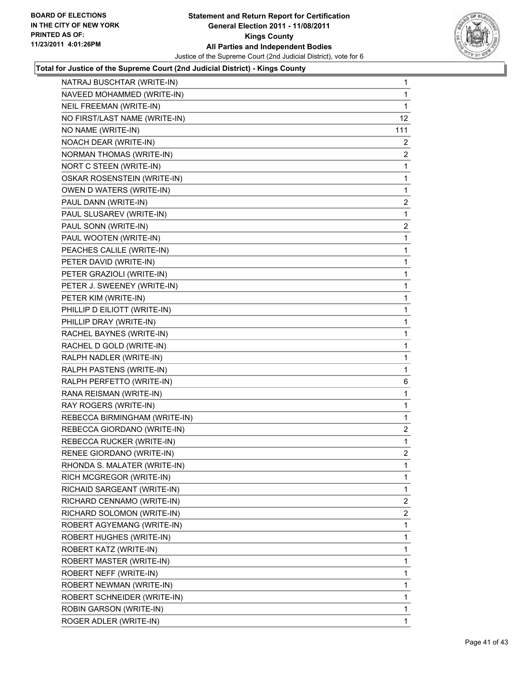

| NATRAJ BUSCHTAR (WRITE-IN)    | $\mathbf{1}$    |
|-------------------------------|-----------------|
| NAVEED MOHAMMED (WRITE-IN)    | 1               |
| NEIL FREEMAN (WRITE-IN)       | 1               |
| NO FIRST/LAST NAME (WRITE-IN) | 12 <sup>2</sup> |
| NO NAME (WRITE-IN)            | 111             |
| NOACH DEAR (WRITE-IN)         | 2               |
| NORMAN THOMAS (WRITE-IN)      | $\overline{2}$  |
| NORT C STEEN (WRITE-IN)       | 1               |
| OSKAR ROSENSTEIN (WRITE-IN)   | 1               |
| OWEN D WATERS (WRITE-IN)      | 1               |
| PAUL DANN (WRITE-IN)          | $\overline{c}$  |
| PAUL SLUSAREV (WRITE-IN)      | 1               |
| PAUL SONN (WRITE-IN)          | 2               |
| PAUL WOOTEN (WRITE-IN)        | 1               |
| PEACHES CALILE (WRITE-IN)     | 1               |
| PETER DAVID (WRITE-IN)        | 1               |
| PETER GRAZIOLI (WRITE-IN)     | 1               |
| PETER J. SWEENEY (WRITE-IN)   | 1               |
| PETER KIM (WRITE-IN)          | 1               |
| PHILLIP D EILIOTT (WRITE-IN)  | 1               |
| PHILLIP DRAY (WRITE-IN)       | 1               |
| RACHEL BAYNES (WRITE-IN)      | 1               |
| RACHEL D GOLD (WRITE-IN)      | 1               |
| RALPH NADLER (WRITE-IN)       | 1               |
| RALPH PASTENS (WRITE-IN)      | 1               |
| RALPH PERFETTO (WRITE-IN)     | 6               |
| RANA REISMAN (WRITE-IN)       | 1               |
| RAY ROGERS (WRITE-IN)         | 1               |
| REBECCA BIRMINGHAM (WRITE-IN) | 1               |
| REBECCA GIORDANO (WRITE-IN)   | $\overline{2}$  |
| REBECCA RUCKER (WRITE-IN)     | 1               |
| RENEE GIORDANO (WRITE-IN)     | 2               |
| RHONDA S. MALATER (WRITE-IN)  | 1               |
| RICH MCGREGOR (WRITE-IN)      | $\mathbf{1}$    |
| RICHAID SARGEANT (WRITE-IN)   | 1               |
| RICHARD CENNAMO (WRITE-IN)    | 2               |
| RICHARD SOLOMON (WRITE-IN)    | 2               |
| ROBERT AGYEMANG (WRITE-IN)    | 1               |
| ROBERT HUGHES (WRITE-IN)      | 1               |
| ROBERT KATZ (WRITE-IN)        | 1               |
| ROBERT MASTER (WRITE-IN)      | 1               |
| ROBERT NEFF (WRITE-IN)        | 1               |
| ROBERT NEWMAN (WRITE-IN)      | 1               |
| ROBERT SCHNEIDER (WRITE-IN)   | 1               |
| ROBIN GARSON (WRITE-IN)       | 1               |
| ROGER ADLER (WRITE-IN)        | $\mathbf{1}$    |
|                               |                 |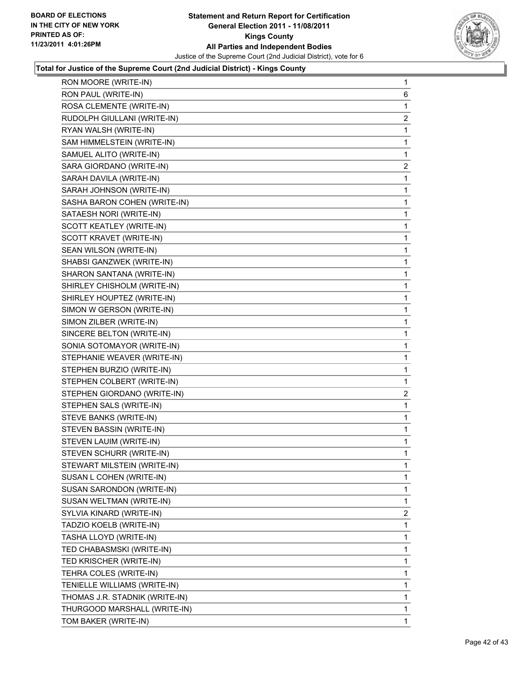

| RON MOORE (WRITE-IN)           | 1 |
|--------------------------------|---|
| RON PAUL (WRITE-IN)            | 6 |
| ROSA CLEMENTE (WRITE-IN)       | 1 |
| RUDOLPH GIULLANI (WRITE-IN)    | 2 |
| RYAN WALSH (WRITE-IN)          | 1 |
| SAM HIMMELSTEIN (WRITE-IN)     | 1 |
| SAMUEL ALITO (WRITE-IN)        | 1 |
| SARA GIORDANO (WRITE-IN)       | 2 |
| SARAH DAVILA (WRITE-IN)        | 1 |
| SARAH JOHNSON (WRITE-IN)       | 1 |
| SASHA BARON COHEN (WRITE-IN)   | 1 |
| SATAESH NORI (WRITE-IN)        | 1 |
| SCOTT KEATLEY (WRITE-IN)       | 1 |
| SCOTT KRAVET (WRITE-IN)        | 1 |
| SEAN WILSON (WRITE-IN)         | 1 |
| SHABSI GANZWEK (WRITE-IN)      | 1 |
| SHARON SANTANA (WRITE-IN)      | 1 |
| SHIRLEY CHISHOLM (WRITE-IN)    | 1 |
| SHIRLEY HOUPTEZ (WRITE-IN)     | 1 |
| SIMON W GERSON (WRITE-IN)      | 1 |
| SIMON ZILBER (WRITE-IN)        | 1 |
| SINCERE BELTON (WRITE-IN)      | 1 |
| SONIA SOTOMAYOR (WRITE-IN)     | 1 |
| STEPHANIE WEAVER (WRITE-IN)    | 1 |
| STEPHEN BURZIO (WRITE-IN)      | 1 |
| STEPHEN COLBERT (WRITE-IN)     | 1 |
| STEPHEN GIORDANO (WRITE-IN)    | 2 |
| STEPHEN SALS (WRITE-IN)        | 1 |
| STEVE BANKS (WRITE-IN)         | 1 |
| STEVEN BASSIN (WRITE-IN)       | 1 |
| STEVEN LAUIM (WRITE-IN)        | 1 |
| STEVEN SCHURR (WRITE-IN)       | 1 |
| STEWART MILSTEIN (WRITE-IN)    | 1 |
| SUSAN L COHEN (WRITE-IN)       | 1 |
| SUSAN SARONDON (WRITE-IN)      | 1 |
| SUSAN WELTMAN (WRITE-IN)       | 1 |
| SYLVIA KINARD (WRITE-IN)       | 2 |
| TADZIO KOELB (WRITE-IN)        | 1 |
| TASHA LLOYD (WRITE-IN)         | 1 |
| TED CHABASMSKI (WRITE-IN)      | 1 |
| TED KRISCHER (WRITE-IN)        | 1 |
| TEHRA COLES (WRITE-IN)         | 1 |
| TENIELLE WILLIAMS (WRITE-IN)   | 1 |
| THOMAS J.R. STADNIK (WRITE-IN) | 1 |
| THURGOOD MARSHALL (WRITE-IN)   | 1 |
| TOM BAKER (WRITE-IN)           | 1 |
|                                |   |